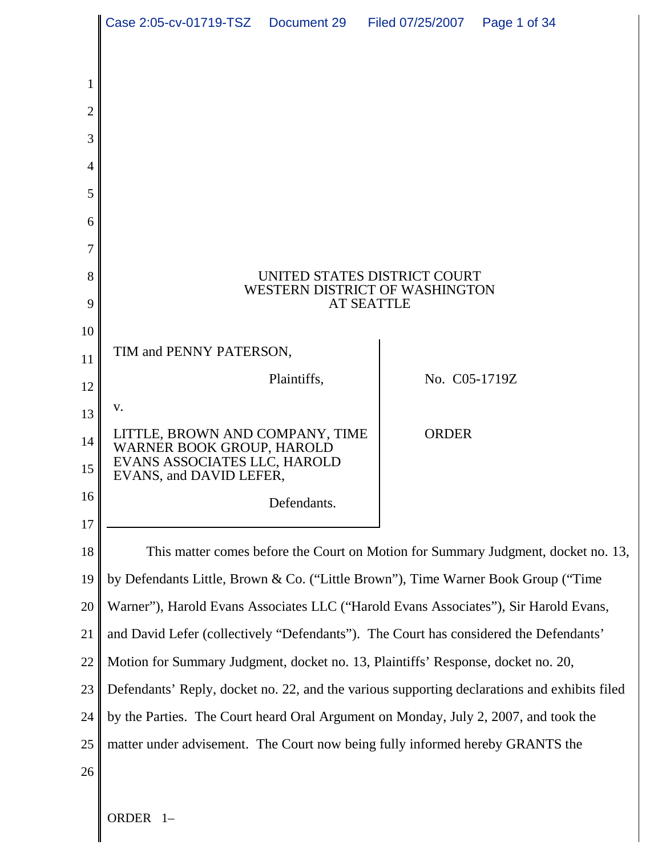|          | Case 2:05-cv-01719-TSZ  Document 29  Filed 07/25/2007                                        |                                                                       |                   |               | Page 1 of 34 |  |
|----------|----------------------------------------------------------------------------------------------|-----------------------------------------------------------------------|-------------------|---------------|--------------|--|
|          |                                                                                              |                                                                       |                   |               |              |  |
|          |                                                                                              |                                                                       |                   |               |              |  |
| 2        |                                                                                              |                                                                       |                   |               |              |  |
| 3        |                                                                                              |                                                                       |                   |               |              |  |
| 4        |                                                                                              |                                                                       |                   |               |              |  |
| 5        |                                                                                              |                                                                       |                   |               |              |  |
| 6        |                                                                                              |                                                                       |                   |               |              |  |
| 7        |                                                                                              |                                                                       |                   |               |              |  |
| 8        |                                                                                              | UNITED STATES DISTRICT COURT<br><b>WESTERN DISTRICT OF WASHINGTON</b> |                   |               |              |  |
| 9        |                                                                                              |                                                                       | <b>AT SEATTLE</b> |               |              |  |
| 10       |                                                                                              |                                                                       |                   |               |              |  |
| 11       | TIM and PENNY PATERSON,                                                                      |                                                                       |                   |               |              |  |
| 12       |                                                                                              | Plaintiffs,                                                           |                   | No. C05-1719Z |              |  |
| 13       | V.                                                                                           |                                                                       |                   |               |              |  |
| 14<br>15 | LITTLE, BROWN AND COMPANY, TIME<br>WARNER BOOK GROUP, HAROLD<br>EVANS ASSOCIATES LLC, HAROLD |                                                                       |                   | <b>ORDER</b>  |              |  |
| 16       | EVANS, and DAVID LEFER,                                                                      |                                                                       |                   |               |              |  |
| 17       |                                                                                              | Defendants.                                                           |                   |               |              |  |
| 18       | This matter comes before the Court on Motion for Summary Judgment, docket no. 13,            |                                                                       |                   |               |              |  |
| 19       | by Defendants Little, Brown & Co. ("Little Brown"), Time Warner Book Group ("Time            |                                                                       |                   |               |              |  |
| 20       | Warner"), Harold Evans Associates LLC ("Harold Evans Associates"), Sir Harold Evans,         |                                                                       |                   |               |              |  |
| 21       | and David Lefer (collectively "Defendants"). The Court has considered the Defendants'        |                                                                       |                   |               |              |  |
| 22       | Motion for Summary Judgment, docket no. 13, Plaintiffs' Response, docket no. 20,             |                                                                       |                   |               |              |  |
| 23       | Defendants' Reply, docket no. 22, and the various supporting declarations and exhibits filed |                                                                       |                   |               |              |  |
| 24       | by the Parties. The Court heard Oral Argument on Monday, July 2, 2007, and took the          |                                                                       |                   |               |              |  |
| 25       | matter under advisement. The Court now being fully informed hereby GRANTS the                |                                                                       |                   |               |              |  |
| 26       |                                                                                              |                                                                       |                   |               |              |  |
|          |                                                                                              |                                                                       |                   |               |              |  |

ORDER 1–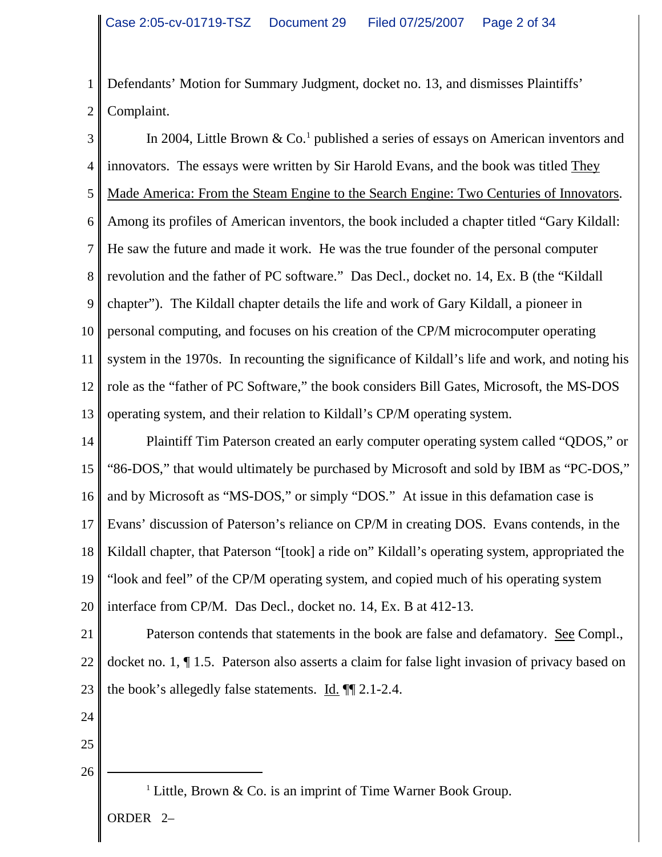1 2 Defendants' Motion for Summary Judgment, docket no. 13, and dismisses Plaintiffs' Complaint.

3 4 5 6 7 8 9 10 11 12 13 In 2004, Little Brown & Co.<sup>1</sup> published a series of essays on American inventors and innovators. The essays were written by Sir Harold Evans, and the book was titled They Made America: From the Steam Engine to the Search Engine: Two Centuries of Innovators. Among its profiles of American inventors, the book included a chapter titled "Gary Kildall: He saw the future and made it work. He was the true founder of the personal computer revolution and the father of PC software." Das Decl., docket no. 14, Ex. B (the "Kildall chapter"). The Kildall chapter details the life and work of Gary Kildall, a pioneer in personal computing, and focuses on his creation of the CP/M microcomputer operating system in the 1970s. In recounting the significance of Kildall's life and work, and noting his role as the "father of PC Software," the book considers Bill Gates, Microsoft, the MS-DOS operating system, and their relation to Kildall's CP/M operating system.

14 15 16 17 18 19 20 Plaintiff Tim Paterson created an early computer operating system called "QDOS," or "86-DOS," that would ultimately be purchased by Microsoft and sold by IBM as "PC-DOS," and by Microsoft as "MS-DOS," or simply "DOS." At issue in this defamation case is Evans' discussion of Paterson's reliance on CP/M in creating DOS. Evans contends, in the Kildall chapter, that Paterson "[took] a ride on" Kildall's operating system, appropriated the "look and feel" of the CP/M operating system, and copied much of his operating system interface from CP/M. Das Decl., docket no. 14, Ex. B at 412-13.

21 22 23 Paterson contends that statements in the book are false and defamatory. See Compl., docket no. 1, ¶ 1.5. Paterson also asserts a claim for false light invasion of privacy based on the book's allegedly false statements.  $\underline{Id}$ .  $\P$  2.1-2.4.

- 24
- 25

26

<sup>1</sup> Little, Brown & Co. is an imprint of Time Warner Book Group. ORDER 2–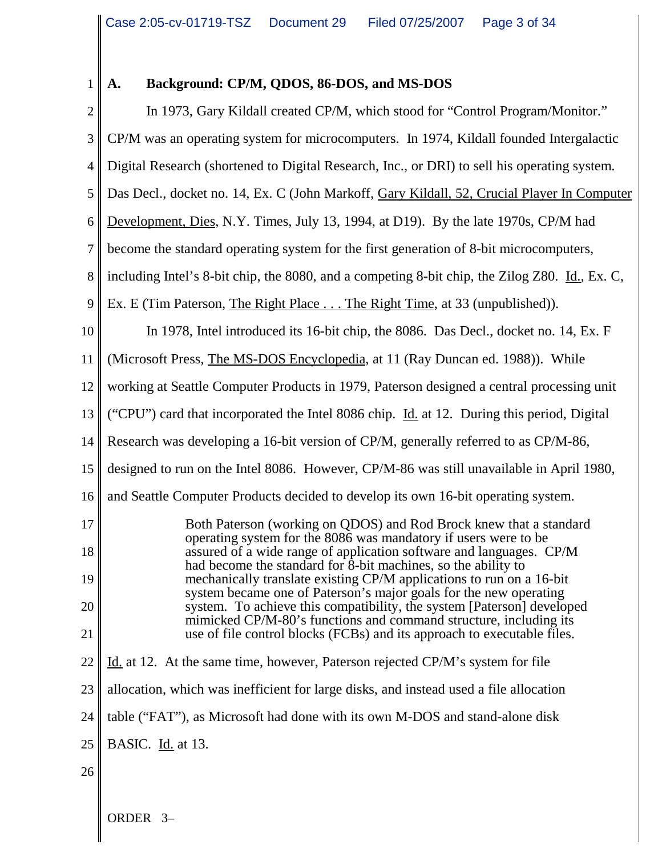$\blacksquare$ 

# **A. Background: CP/M, QDOS, 86-DOS, and MS-DOS**

| $\overline{c}$   | In 1973, Gary Kildall created CP/M, which stood for "Control Program/Monitor."                                                              |
|------------------|---------------------------------------------------------------------------------------------------------------------------------------------|
| 3                | CP/M was an operating system for microcomputers. In 1974, Kildall founded Intergalactic                                                     |
| $\overline{4}$   | Digital Research (shortened to Digital Research, Inc., or DRI) to sell his operating system.                                                |
| 5                | Das Decl., docket no. 14, Ex. C (John Markoff, Gary Kildall, 52, Crucial Player In Computer                                                 |
| 6                | Development, Dies, N.Y. Times, July 13, 1994, at D19). By the late 1970s, CP/M had                                                          |
| $\boldsymbol{7}$ | become the standard operating system for the first generation of 8-bit microcomputers,                                                      |
| 8                | including Intel's 8-bit chip, the 8080, and a competing 8-bit chip, the Zilog Z80. Id., Ex. C,                                              |
| 9                | Ex. E (Tim Paterson, The Right Place The Right Time, at 33 (unpublished)).                                                                  |
| 10               | In 1978, Intel introduced its 16-bit chip, the 8086. Das Decl., docket no. 14, Ex. F                                                        |
| 11               | (Microsoft Press, The MS-DOS Encyclopedia, at 11 (Ray Duncan ed. 1988)). While                                                              |
| 12               | working at Seattle Computer Products in 1979, Paterson designed a central processing unit                                                   |
| 13               | ("CPU") card that incorporated the Intel 8086 chip. Id. at 12. During this period, Digital                                                  |
| 14               | Research was developing a 16-bit version of CP/M, generally referred to as CP/M-86,                                                         |
| 15               | designed to run on the Intel 8086. However, CP/M-86 was still unavailable in April 1980,                                                    |
| 16               | and Seattle Computer Products decided to develop its own 16-bit operating system.                                                           |
| 17               | Both Paterson (working on QDOS) and Rod Brock knew that a standard<br>operating system for the 8086 was mandatory if users were to be       |
| 18               | assured of a wide range of application software and languages. CP/M<br>had become the standard for 8-bit machines, so the ability to        |
| 19               | mechanically translate existing CP/M applications to run on a 16-bit<br>system became one of Paterson's major goals for the new operating   |
| 20               | system. To achieve this compatibility, the system [Paterson] developed<br>mimicked CP/M-80's functions and command structure, including its |
| 21               | use of file control blocks (FCBs) and its approach to executable files.                                                                     |
| 22               | Id. at 12. At the same time, however, Paterson rejected CP/M's system for file                                                              |
| 23               | allocation, which was inefficient for large disks, and instead used a file allocation                                                       |
| 24               | table ("FAT"), as Microsoft had done with its own M-DOS and stand-alone disk                                                                |
| 25               | BASIC. Id. at 13.                                                                                                                           |
| 26               |                                                                                                                                             |
|                  |                                                                                                                                             |

ORDER 3–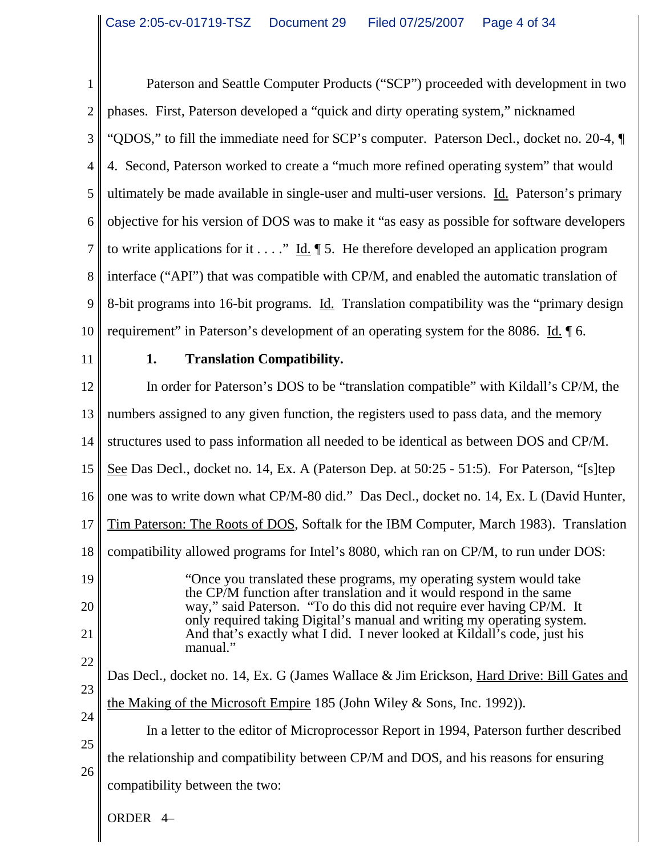1 2 3 4 5 6 7 8 9 10 Paterson and Seattle Computer Products ("SCP") proceeded with development in two phases. First, Paterson developed a "quick and dirty operating system," nicknamed "QDOS," to fill the immediate need for SCP's computer. Paterson Decl., docket no. 20-4, ¶ 4. Second, Paterson worked to create a "much more refined operating system" that would ultimately be made available in single-user and multi-user versions. Id. Paterson's primary objective for his version of DOS was to make it "as easy as possible for software developers to write applications for it  $\dots$ ." Id.  $\llbracket 5$ . He therefore developed an application program interface ("API") that was compatible with CP/M, and enabled the automatic translation of 8-bit programs into 16-bit programs. Id. Translation compatibility was the "primary design requirement" in Paterson's development of an operating system for the 8086. Id. 16.

11

#### **1. Translation Compatibility.**

12 13 14 15 16 17 18 19 20 21 22 23 24 25 26 In order for Paterson's DOS to be "translation compatible" with Kildall's CP/M, the numbers assigned to any given function, the registers used to pass data, and the memory structures used to pass information all needed to be identical as between DOS and CP/M. See Das Decl., docket no. 14, Ex. A (Paterson Dep. at 50:25 - 51:5). For Paterson, "[s]tep one was to write down what CP/M-80 did." Das Decl., docket no. 14, Ex. L (David Hunter, Tim Paterson: The Roots of DOS, Softalk for the IBM Computer, March 1983). Translation compatibility allowed programs for Intel's 8080, which ran on CP/M, to run under DOS: "Once you translated these programs, my operating system would take the CP/M function after translation and it would respond in the same way," said Paterson. "To do this did not require ever having CP/M. It only required taking Digital's manual and writing my operating system. And that's exactly what I did. I never looked at Kildall's code, just his manual." Das Decl., docket no. 14, Ex. G (James Wallace & Jim Erickson, Hard Drive: Bill Gates and the Making of the Microsoft Empire 185 (John Wiley & Sons, Inc. 1992)). In a letter to the editor of Microprocessor Report in 1994, Paterson further described the relationship and compatibility between CP/M and DOS, and his reasons for ensuring compatibility between the two:

ORDER 4–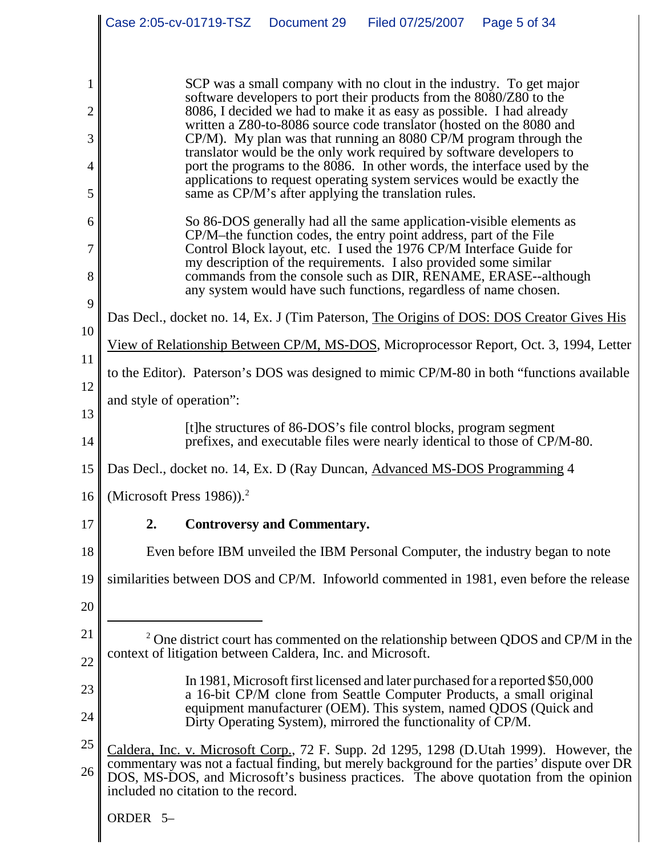|                |                                            |                                     | Case 2:05-cv-01719-TSZ  Document 29                        | Filed 07/25/2007                                                                                                                                                                                                                                                                      | Page 5 of 34                                                                                                                                                                                                                                                                      |
|----------------|--------------------------------------------|-------------------------------------|------------------------------------------------------------|---------------------------------------------------------------------------------------------------------------------------------------------------------------------------------------------------------------------------------------------------------------------------------------|-----------------------------------------------------------------------------------------------------------------------------------------------------------------------------------------------------------------------------------------------------------------------------------|
|                |                                            |                                     |                                                            |                                                                                                                                                                                                                                                                                       |                                                                                                                                                                                                                                                                                   |
| $\overline{2}$ |                                            |                                     |                                                            | SCP was a small company with no clout in the industry. To get major<br>software developers to port their products from the 8080/Z80 to the<br>8086, I decided we had to make it as easy as possible. I had already                                                                    |                                                                                                                                                                                                                                                                                   |
| 3              |                                            |                                     |                                                            | written a Z80-to-8086 source code translator (hosted on the 8080 and<br>CP/M). My plan was that running an 8080 CP/M program through the                                                                                                                                              |                                                                                                                                                                                                                                                                                   |
| 4              |                                            |                                     |                                                            | translator would be the only work required by software developers to                                                                                                                                                                                                                  | port the programs to the 8086. In other words, the interface used by the                                                                                                                                                                                                          |
| 5              |                                            |                                     |                                                            | applications to request operating system services would be exactly the<br>same as CP/M's after applying the translation rules.                                                                                                                                                        |                                                                                                                                                                                                                                                                                   |
| 6<br>7<br>8    |                                            |                                     |                                                            | So 86-DOS generally had all the same application-visible elements as<br>CP/M–the function codes, the entry point address, part of the File<br>Control Block layout, etc. I used the 1976 CP/M Interface Guide for<br>my description of the requirements. I also provided some similar | commands from the console such as DIR, RENAME, ERASE--although                                                                                                                                                                                                                    |
| 9              |                                            |                                     |                                                            | any system would have such functions, regardless of name chosen.                                                                                                                                                                                                                      |                                                                                                                                                                                                                                                                                   |
| 10             |                                            |                                     |                                                            |                                                                                                                                                                                                                                                                                       | Das Decl., docket no. 14, Ex. J (Tim Paterson, The Origins of DOS: DOS Creator Gives His                                                                                                                                                                                          |
| 11             |                                            |                                     |                                                            |                                                                                                                                                                                                                                                                                       | View of Relationship Between CP/M, MS-DOS, Microprocessor Report, Oct. 3, 1994, Letter                                                                                                                                                                                            |
| 12             |                                            |                                     |                                                            |                                                                                                                                                                                                                                                                                       | to the Editor). Paterson's DOS was designed to mimic CP/M-80 in both "functions available                                                                                                                                                                                         |
| 13             | and style of operation":                   |                                     |                                                            |                                                                                                                                                                                                                                                                                       |                                                                                                                                                                                                                                                                                   |
| 14             |                                            |                                     |                                                            | [t]he structures of 86-DOS's file control blocks, program segment                                                                                                                                                                                                                     | prefixes, and executable files were nearly identical to those of CP/M-80.                                                                                                                                                                                                         |
| 15             |                                            |                                     |                                                            | Das Decl., docket no. 14, Ex. D (Ray Duncan, Advanced MS-DOS Programming 4                                                                                                                                                                                                            |                                                                                                                                                                                                                                                                                   |
|                | 16   (Microsoft Press 1986)). <sup>2</sup> |                                     |                                                            |                                                                                                                                                                                                                                                                                       |                                                                                                                                                                                                                                                                                   |
| 17             | 2.                                         |                                     | <b>Controversy and Commentary.</b>                         |                                                                                                                                                                                                                                                                                       |                                                                                                                                                                                                                                                                                   |
| 18             |                                            |                                     |                                                            |                                                                                                                                                                                                                                                                                       | Even before IBM unveiled the IBM Personal Computer, the industry began to note                                                                                                                                                                                                    |
| 19             |                                            |                                     |                                                            |                                                                                                                                                                                                                                                                                       | similarities between DOS and CP/M. Infoworld commented in 1981, even before the release                                                                                                                                                                                           |
| 20             |                                            |                                     |                                                            |                                                                                                                                                                                                                                                                                       |                                                                                                                                                                                                                                                                                   |
| 21<br>22       |                                            |                                     | context of litigation between Caldera, Inc. and Microsoft. |                                                                                                                                                                                                                                                                                       | <sup>2</sup> One district court has commented on the relationship between QDOS and CP/M in the                                                                                                                                                                                    |
| 23<br>24       |                                            |                                     |                                                            | Dirty Operating System), mirrored the functionality of CP/M.                                                                                                                                                                                                                          | In 1981, Microsoft first licensed and later purchased for a reported \$50,000<br>a 16-bit CP/M clone from Seattle Computer Products, a small original<br>equipment manufacturer (OEM). This system, named QDOS (Quick and                                                         |
| 25<br>26       |                                            | included no citation to the record. |                                                            |                                                                                                                                                                                                                                                                                       | Caldera, Inc. v. Microsoft Corp., 72 F. Supp. 2d 1295, 1298 (D. Utah 1999). However, the<br>commentary was not a factual finding, but merely background for the parties' dispute over DR<br>DOS, MS-DOS, and Microsoft's business practices. The above quotation from the opinion |
|                | ORDER 5-                                   |                                     |                                                            |                                                                                                                                                                                                                                                                                       |                                                                                                                                                                                                                                                                                   |

 $\mathsf{l}$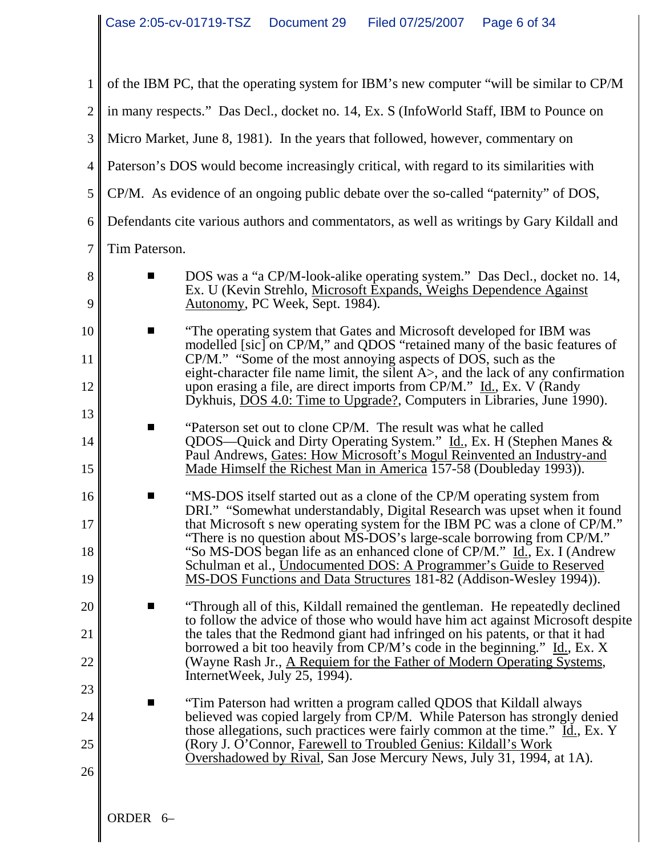| $\mathbf{1}$         | of the IBM PC, that the operating system for IBM's new computer "will be similar to CP/M                                                                                                                                                                                                                                                                                                                                                                                                                                                  |  |  |  |  |
|----------------------|-------------------------------------------------------------------------------------------------------------------------------------------------------------------------------------------------------------------------------------------------------------------------------------------------------------------------------------------------------------------------------------------------------------------------------------------------------------------------------------------------------------------------------------------|--|--|--|--|
| $\overline{2}$       | in many respects." Das Decl., docket no. 14, Ex. S (InfoWorld Staff, IBM to Pounce on                                                                                                                                                                                                                                                                                                                                                                                                                                                     |  |  |  |  |
| 3                    | Micro Market, June 8, 1981). In the years that followed, however, commentary on                                                                                                                                                                                                                                                                                                                                                                                                                                                           |  |  |  |  |
| $\overline{4}$       | Paterson's DOS would become increasingly critical, with regard to its similarities with                                                                                                                                                                                                                                                                                                                                                                                                                                                   |  |  |  |  |
| 5                    | CP/M. As evidence of an ongoing public debate over the so-called "paternity" of DOS,                                                                                                                                                                                                                                                                                                                                                                                                                                                      |  |  |  |  |
| 6                    | Defendants cite various authors and commentators, as well as writings by Gary Kildall and                                                                                                                                                                                                                                                                                                                                                                                                                                                 |  |  |  |  |
| $\overline{7}$       | Tim Paterson.                                                                                                                                                                                                                                                                                                                                                                                                                                                                                                                             |  |  |  |  |
| 8<br>9               | DOS was a "a CP/M-look-alike operating system." Das Decl., docket no. 14,<br>ш<br>Ex. U (Kevin Strehlo, Microsoft Expands, Weighs Dependence Against<br>Autonomy, PC Week, Sept. 1984).                                                                                                                                                                                                                                                                                                                                                   |  |  |  |  |
| 10                   | "The operating system that Gates and Microsoft developed for IBM was<br>П<br>modelled [sic] on CP/M," and QDOS "retained many of the basic features of                                                                                                                                                                                                                                                                                                                                                                                    |  |  |  |  |
| 11<br>12             | CP/M." "Some of the most annoying aspects of DOS, such as the<br>eight-character file name limit, the silent $A$ , and the lack of any confirmation<br>upon erasing a file, are direct imports from CP/M." Id., Ex. V (Randy<br>Dykhuis, DOS 4.0: Time to Upgrade?, Computers in Libraries, June 1990).                                                                                                                                                                                                                                   |  |  |  |  |
| 13<br>14<br>15       | "Paterson set out to clone CP/M. The result was what he called<br>П<br>QDOS-Quick and Dirty Operating System." Id., Ex. H (Stephen Manes &<br>Paul Andrews, Gates: How Microsoft's Mogul Reinvented an Industry-and<br>Made Himself the Richest Man in America 157-58 (Doubleday 1993)).                                                                                                                                                                                                                                                  |  |  |  |  |
| 16<br>17<br>18<br>19 | "MS-DOS itself started out as a clone of the CP/M operating system from<br>Ш<br>DRI." "Somewhat understandably, Digital Research was upset when it found<br>that Microsoft s new operating system for the IBM PC was a clone of CP/M."<br>"There is no question about MS-DOS's large-scale borrowing from CP/M."<br>"So MS-DOS began life as an enhanced clone of CP/M." Id., Ex. I (Andrew<br>Schulman et al., Undocumented DOS: A Programmer's Guide to Reserved<br>MS-DOS Functions and Data Structures 181-82 (Addison-Wesley 1994)). |  |  |  |  |
| 20<br>21<br>22       | "Through all of this, Kildall remained the gentleman. He repeatedly declined<br>to follow the advice of those who would have him act against Microsoft despite<br>the tales that the Redmond giant had infringed on his patents, or that it had<br>borrowed a bit too heavily from CP/M's code in the beginning." Id., Ex. X<br>(Wayne Rash Jr., A Requiem for the Father of Modern Operating Systems,                                                                                                                                    |  |  |  |  |
| 23<br>24<br>25       | InternetWeek, July 25, 1994).<br>"Tim Paterson had written a program called QDOS that Kildall always<br>ш<br>believed was copied largely from CP/M. While Paterson has strongly denied<br>those allegations, such practices were fairly common at the time." Id., Ex. Y<br>(Rory J. O'Connor, Farewell to Troubled Genius: Kildall's Work<br>Overshadowed by Rival, San Jose Mercury News, July 31, 1994, at 1A).                                                                                                                         |  |  |  |  |
| 26                   |                                                                                                                                                                                                                                                                                                                                                                                                                                                                                                                                           |  |  |  |  |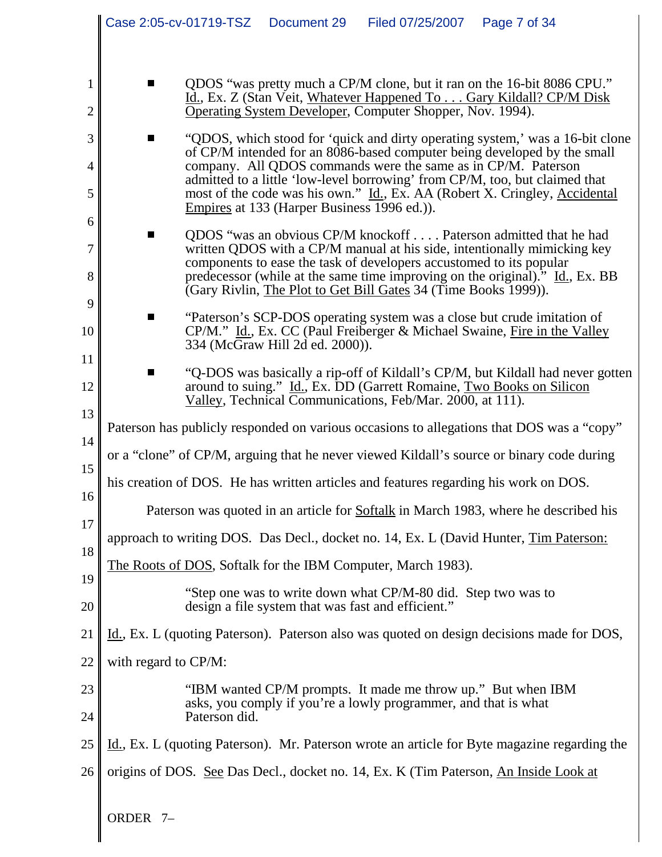|                     | Case 2:05-cv-01719-TSZ |               | Document 29                                        | Filed 07/25/2007                                                                                                                       | Page 7 of 34                                                                                                                                                                                                                 |
|---------------------|------------------------|---------------|----------------------------------------------------|----------------------------------------------------------------------------------------------------------------------------------------|------------------------------------------------------------------------------------------------------------------------------------------------------------------------------------------------------------------------------|
|                     |                        |               |                                                    |                                                                                                                                        |                                                                                                                                                                                                                              |
| 1<br>$\overline{2}$ | $\blacksquare$         |               |                                                    | Operating System Developer, Computer Shopper, Nov. 1994).                                                                              | QDOS "was pretty much a CP/M clone, but it ran on the 16-bit 8086 CPU."<br>Id., Ex. Z (Stan Veit, Whatever Happened To Gary Kildall? CP/M Disk                                                                               |
| 3                   | ш                      |               |                                                    |                                                                                                                                        | "QDOS, which stood for 'quick and dirty operating system,' was a 16-bit clone                                                                                                                                                |
| 4                   |                        |               |                                                    | company. All QDOS commands were the same as in CP/M. Paterson                                                                          | of CP/M intended for an 8086-based computer being developed by the small<br>admitted to a little 'low-level borrowing' from CP/M, too, but claimed that                                                                      |
| 5                   |                        |               | Empires at 133 (Harper Business 1996 ed.)).        |                                                                                                                                        | most of the code was his own." Id., Ex. AA (Robert X. Cringley, Accidental                                                                                                                                                   |
| 6<br>7<br>8         | П                      |               |                                                    | components to ease the task of developers accustomed to its popular<br>(Gary Rivlin, The Plot to Get Bill Gates 34 (Time Books 1999)). | QDOS "was an obvious CP/M knockoff Paterson admitted that he had<br>written QDOS with a CP/M manual at his side, intentionally mimicking key<br>predecessor (while at the same time improving on the original)." Id., Ex. BB |
| 9<br>10             | $\blacksquare$         |               | 334 (McGraw Hill 2d ed. 2000)).                    |                                                                                                                                        | "Paterson's SCP-DOS operating system was a close but crude imitation of<br>CP/M." Id., Ex. CC (Paul Freiberger & Michael Swaine, Fire in the Valley                                                                          |
| 11<br>12            |                        |               |                                                    | Valley, Technical Communications, Feb/Mar. 2000, at 111).                                                                              | "Q-DOS was basically a rip-off of Kildall's CP/M, but Kildall had never gotten<br>around to suing." Id., Ex. DD (Garrett Romaine, Two Books on Silicon                                                                       |
| 13                  |                        |               |                                                    |                                                                                                                                        | Paterson has publicly responded on various occasions to allegations that DOS was a "copy"                                                                                                                                    |
| 14<br>15            |                        |               |                                                    |                                                                                                                                        | or a "clone" of CP/M, arguing that he never viewed Kildall's source or binary code during                                                                                                                                    |
| 16                  |                        |               |                                                    |                                                                                                                                        | his creation of DOS. He has written articles and features regarding his work on DOS.                                                                                                                                         |
| 17                  |                        |               |                                                    |                                                                                                                                        | Paterson was quoted in an article for <b>Softalk</b> in March 1983, where he described his                                                                                                                                   |
| 18                  |                        |               |                                                    |                                                                                                                                        | approach to writing DOS. Das Decl., docket no. 14, Ex. L (David Hunter, Tim Paterson:                                                                                                                                        |
| 19                  |                        |               |                                                    | The Roots of DOS, Softalk for the IBM Computer, March 1983).                                                                           |                                                                                                                                                                                                                              |
| 20                  |                        |               | design a file system that was fast and efficient." | "Step one was to write down what CP/M-80 did. Step two was to                                                                          |                                                                                                                                                                                                                              |
| 21                  |                        |               |                                                    |                                                                                                                                        | Id., Ex. L (quoting Paterson). Paterson also was quoted on design decisions made for DOS,                                                                                                                                    |
| 22                  | with regard to CP/M:   |               |                                                    |                                                                                                                                        |                                                                                                                                                                                                                              |
| 23<br>24            |                        | Paterson did. |                                                    | "IBM wanted CP/M prompts. It made me throw up." But when IBM<br>asks, you comply if you're a lowly programmer, and that is what        |                                                                                                                                                                                                                              |
| 25                  |                        |               |                                                    |                                                                                                                                        | Id., Ex. L (quoting Paterson). Mr. Paterson wrote an article for Byte magazine regarding the                                                                                                                                 |
| 26                  |                        |               |                                                    |                                                                                                                                        | origins of DOS. See Das Decl., docket no. 14, Ex. K (Tim Paterson, An Inside Look at                                                                                                                                         |
|                     | ORDER <sub>7-</sub>    |               |                                                    |                                                                                                                                        |                                                                                                                                                                                                                              |

 $\mathsf{l}$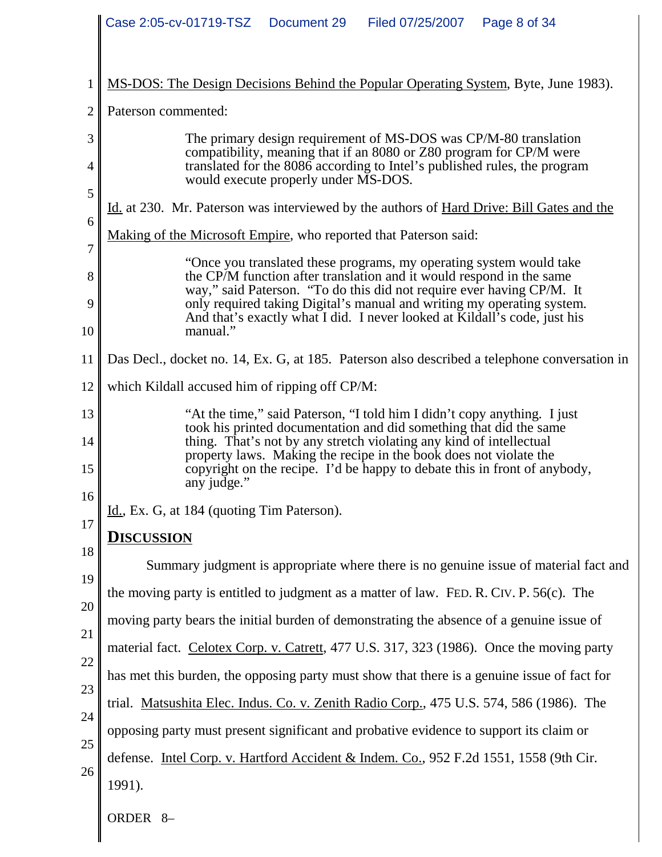|          | Case 2:05-cv-01719-TSZ<br>Document 29<br>Filed 07/25/2007<br>Page 8 of 34                                                                                                                                                                                                                  |  |  |  |  |
|----------|--------------------------------------------------------------------------------------------------------------------------------------------------------------------------------------------------------------------------------------------------------------------------------------------|--|--|--|--|
|          | MS-DOS: The Design Decisions Behind the Popular Operating System, Byte, June 1983).                                                                                                                                                                                                        |  |  |  |  |
| 2        | Paterson commented:                                                                                                                                                                                                                                                                        |  |  |  |  |
| 3        | The primary design requirement of MS-DOS was CP/M-80 translation<br>compatibility, meaning that if an 8080 or Z80 program for CP/M were                                                                                                                                                    |  |  |  |  |
| 4        | translated for the 8086 according to Intel's published rules, the program<br>would execute properly under MS-DOS.                                                                                                                                                                          |  |  |  |  |
| 5        | Id. at 230. Mr. Paterson was interviewed by the authors of Hard Drive: Bill Gates and the                                                                                                                                                                                                  |  |  |  |  |
| 6        | Making of the Microsoft Empire, who reported that Paterson said:                                                                                                                                                                                                                           |  |  |  |  |
| 7        | "Once you translated these programs, my operating system would take                                                                                                                                                                                                                        |  |  |  |  |
| 8        | the CP/M function after translation and it would respond in the same<br>way," said Paterson. "To do this did not require ever having CP/M. It                                                                                                                                              |  |  |  |  |
| 9        | only required taking Digital's manual and writing my operating system.<br>And that's exactly what I did. I never looked at Kildall's code, just his                                                                                                                                        |  |  |  |  |
| 10       | manual."                                                                                                                                                                                                                                                                                   |  |  |  |  |
| 11       | Das Decl., docket no. 14, Ex. G, at 185. Paterson also described a telephone conversation in                                                                                                                                                                                               |  |  |  |  |
| 12       | which Kildall accused him of ripping off CP/M:                                                                                                                                                                                                                                             |  |  |  |  |
| 13<br>14 | "At the time," said Paterson, "I told him I didn't copy anything. I just<br>took his printed documentation and did something that did the same<br>thing. That's not by any stretch violating any kind of intellectual<br>property laws. Making the recipe in the book does not violate the |  |  |  |  |
| 15<br>16 | copyright on the recipe. I'd be happy to debate this in front of anybody,<br>any judge."                                                                                                                                                                                                   |  |  |  |  |
| 17       | Id., Ex. G, at 184 (quoting Tim Paterson).                                                                                                                                                                                                                                                 |  |  |  |  |
| 18       | <u>Discussion</u>                                                                                                                                                                                                                                                                          |  |  |  |  |
| 19       | Summary judgment is appropriate where there is no genuine issue of material fact and                                                                                                                                                                                                       |  |  |  |  |
| 20       | the moving party is entitled to judgment as a matter of law. FED. R. CIV. P. 56(c). The                                                                                                                                                                                                    |  |  |  |  |
| 21       | moving party bears the initial burden of demonstrating the absence of a genuine issue of                                                                                                                                                                                                   |  |  |  |  |
| 22       | material fact. Celotex Corp. v. Catrett, 477 U.S. 317, 323 (1986). Once the moving party                                                                                                                                                                                                   |  |  |  |  |
| 23       | has met this burden, the opposing party must show that there is a genuine issue of fact for                                                                                                                                                                                                |  |  |  |  |
| 24       | trial. Matsushita Elec. Indus. Co. v. Zenith Radio Corp., 475 U.S. 574, 586 (1986). The                                                                                                                                                                                                    |  |  |  |  |
| 25       | opposing party must present significant and probative evidence to support its claim or                                                                                                                                                                                                     |  |  |  |  |
| 26       | defense. Intel Corp. v. Hartford Accident & Indem. Co., 952 F.2d 1551, 1558 (9th Cir.                                                                                                                                                                                                      |  |  |  |  |
|          | 1991).                                                                                                                                                                                                                                                                                     |  |  |  |  |
|          | ORDER 8-                                                                                                                                                                                                                                                                                   |  |  |  |  |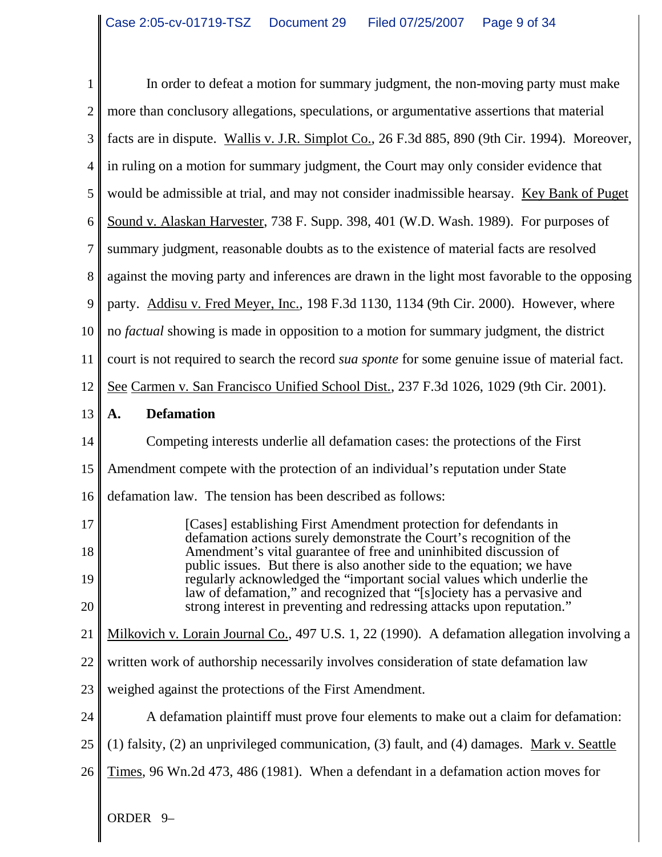| $\mathbf{1}$   | In order to defeat a motion for summary judgment, the non-moving party must make                                                                  |  |  |  |  |  |
|----------------|---------------------------------------------------------------------------------------------------------------------------------------------------|--|--|--|--|--|
| $\overline{2}$ | more than conclusory allegations, speculations, or argumentative assertions that material                                                         |  |  |  |  |  |
| 3              | facts are in dispute. Wallis v. J.R. Simplot Co., 26 F.3d 885, 890 (9th Cir. 1994). Moreover,                                                     |  |  |  |  |  |
| $\overline{4}$ | in ruling on a motion for summary judgment, the Court may only consider evidence that                                                             |  |  |  |  |  |
| 5              | would be admissible at trial, and may not consider inadmissible hearsay. Key Bank of Puget                                                        |  |  |  |  |  |
| 6              | Sound v. Alaskan Harvester, 738 F. Supp. 398, 401 (W.D. Wash. 1989). For purposes of                                                              |  |  |  |  |  |
| 7              | summary judgment, reasonable doubts as to the existence of material facts are resolved                                                            |  |  |  |  |  |
| $8\,$          | against the moving party and inferences are drawn in the light most favorable to the opposing                                                     |  |  |  |  |  |
| 9              | party. Addisu v. Fred Meyer, Inc., 198 F.3d 1130, 1134 (9th Cir. 2000). However, where                                                            |  |  |  |  |  |
| 10             | no <i>factual</i> showing is made in opposition to a motion for summary judgment, the district                                                    |  |  |  |  |  |
| 11             | court is not required to search the record <i>sua sponte</i> for some genuine issue of material fact.                                             |  |  |  |  |  |
| 12             | See Carmen v. San Francisco Unified School Dist., 237 F.3d 1026, 1029 (9th Cir. 2001).                                                            |  |  |  |  |  |
| 13             | <b>Defamation</b><br>A.                                                                                                                           |  |  |  |  |  |
| 14             | Competing interests underlie all defamation cases: the protections of the First                                                                   |  |  |  |  |  |
| 15             | Amendment compete with the protection of an individual's reputation under State                                                                   |  |  |  |  |  |
| 16             | defamation law. The tension has been described as follows:                                                                                        |  |  |  |  |  |
| 17             | [Cases] establishing First Amendment protection for defendants in<br>defamation actions surely demonstrate the Court's recognition of the         |  |  |  |  |  |
| 18             | Amendment's vital guarantee of free and uninhibited discussion of<br>public issues. But there is also another side to the equation; we have       |  |  |  |  |  |
| 19             | regularly acknowledged the "important social values which underlie the<br>law of defamation," and recognized that "[s] ociety has a pervasive and |  |  |  |  |  |
| 20             | strong interest in preventing and redressing attacks upon reputation."                                                                            |  |  |  |  |  |
| 21             | Milkovich v. Lorain Journal Co., 497 U.S. 1, 22 (1990). A defamation allegation involving a                                                       |  |  |  |  |  |
| 22             | written work of authorship necessarily involves consideration of state defamation law                                                             |  |  |  |  |  |
| 23             | weighed against the protections of the First Amendment.                                                                                           |  |  |  |  |  |
| 24             | A defamation plaintiff must prove four elements to make out a claim for defamation:                                                               |  |  |  |  |  |
| 25             | (1) falsity, (2) an unprivileged communication, (3) fault, and (4) damages. Mark v. Seattle                                                       |  |  |  |  |  |
| 26             | Times, 96 Wn.2d 473, 486 (1981). When a defendant in a defamation action moves for                                                                |  |  |  |  |  |
|                | ORDER <sub>9</sub> -                                                                                                                              |  |  |  |  |  |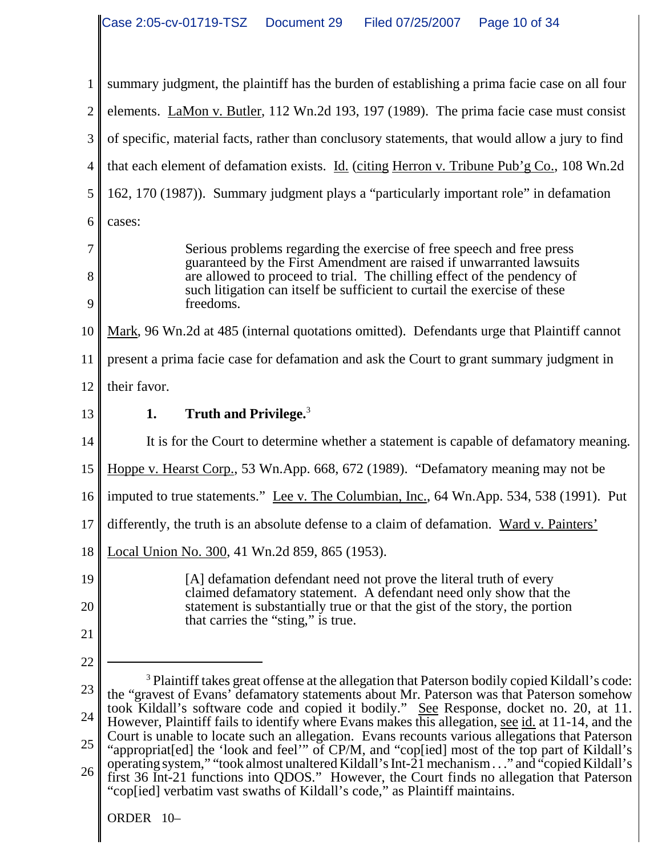| $\mathbf{1}$   | summary judgment, the plaintiff has the burden of establishing a prima facie case on all four                                                                                                                                                                           |
|----------------|-------------------------------------------------------------------------------------------------------------------------------------------------------------------------------------------------------------------------------------------------------------------------|
| $\overline{2}$ | elements. LaMon v. Butler, 112 Wn.2d 193, 197 (1989). The prima facie case must consist                                                                                                                                                                                 |
| 3              | of specific, material facts, rather than conclusory statements, that would allow a jury to find                                                                                                                                                                         |
| 4              | that each element of defamation exists. Id. (citing Herron v. Tribune Pub'g Co., 108 Wn.2d                                                                                                                                                                              |
| 5              | 162, 170 (1987)). Summary judgment plays a "particularly important role" in defamation                                                                                                                                                                                  |
| 6              | cases:                                                                                                                                                                                                                                                                  |
| 7              | Serious problems regarding the exercise of free speech and free press                                                                                                                                                                                                   |
| 8<br>9         | guaranteed by the First Amendment are raised if unwarranted lawsuits<br>are allowed to proceed to trial. The chilling effect of the pendency of<br>such litigation can itself be sufficient to curtail the exercise of these<br>freedoms.                               |
| 10             | Mark, 96 Wn.2d at 485 (internal quotations omitted). Defendants urge that Plaintiff cannot                                                                                                                                                                              |
| 11             | present a prima facie case for defamation and ask the Court to grant summary judgment in                                                                                                                                                                                |
| 12             | their favor.                                                                                                                                                                                                                                                            |
| 13             | Truth and Privilege. <sup>3</sup><br>1.                                                                                                                                                                                                                                 |
| 14             | It is for the Court to determine whether a statement is capable of defamatory meaning.                                                                                                                                                                                  |
| 15             | Hoppe v. Hearst Corp., 53 Wn.App. 668, 672 (1989). "Defamatory meaning may not be                                                                                                                                                                                       |
| 16             | imputed to true statements." Lee v. The Columbian, Inc., 64 Wn.App. 534, 538 (1991). Put                                                                                                                                                                                |
| 17             | differently, the truth is an absolute defense to a claim of defamation. Ward v. Painters'                                                                                                                                                                               |
| 18             | Local Union No. 300, 41 Wn.2d 859, 865 (1953).                                                                                                                                                                                                                          |
| 19             | [A] defamation defendant need not prove the literal truth of every<br>claimed defamatory statement. A defendant need only show that the                                                                                                                                 |
| 20             | statement is substantially true or that the gist of the story, the portion<br>that carries the "sting," is true.                                                                                                                                                        |
| 21             |                                                                                                                                                                                                                                                                         |
| 22             |                                                                                                                                                                                                                                                                         |
| 23             | <sup>3</sup> Plaintiff takes great offense at the allegation that Paterson bodily copied Kildall's code:<br>the "gravest of Evans' defamatory statements about Mr. Paterson was that Paterson somehow                                                                   |
| 24             | took Kildall's software code and copied it bodily." See Response, docket no. 20, at 11.<br>However, Plaintiff fails to identify where Evans makes this allegation, see id. at 11-14, and the                                                                            |
| 25             | Court is unable to locate such an allegation. Evans recounts various allegations that Paterson<br>"appropriat[ed] the 'look and feel'" of CP/M, and "cop[ied] most of the top part of Kildall's                                                                         |
| 26             | operating system," "took almost unaltered Kildall's Int-21 mechanism" and "copied Kildall's<br>first 36 Int-21 functions into QDOS." However, the Court finds no allegation that Paterson<br>"cop[ied] verbatim vast swaths of Kildall's code," as Plaintiff maintains. |
|                | ORDER 10-                                                                                                                                                                                                                                                               |

I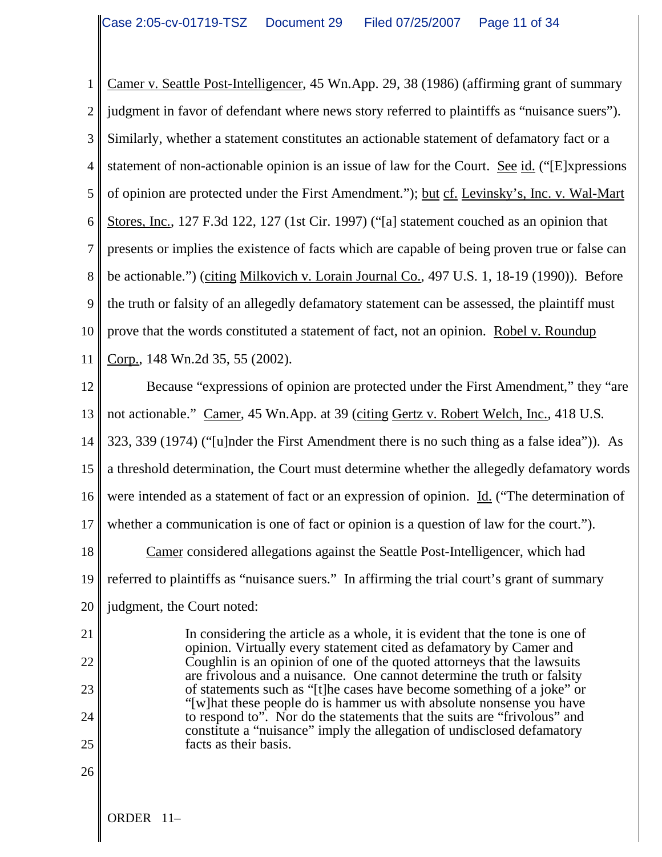1 2 3 4 5 6 7 8 9 10 11 Camer v. Seattle Post-Intelligencer, 45 Wn.App. 29, 38 (1986) (affirming grant of summary judgment in favor of defendant where news story referred to plaintiffs as "nuisance suers"). Similarly, whether a statement constitutes an actionable statement of defamatory fact or a statement of non-actionable opinion is an issue of law for the Court. See id. ("[E]xpressions of opinion are protected under the First Amendment."); but cf. Levinsky's, Inc. v. Wal-Mart Stores, Inc., 127 F.3d 122, 127 (1st Cir. 1997) ("[a] statement couched as an opinion that presents or implies the existence of facts which are capable of being proven true or false can be actionable.") (citing Milkovich v. Lorain Journal Co., 497 U.S. 1, 18-19 (1990)). Before the truth or falsity of an allegedly defamatory statement can be assessed, the plaintiff must prove that the words constituted a statement of fact, not an opinion. Robel v. Roundup Corp., 148 Wn.2d 35, 55 (2002).

12 13 14 15 16 17 18 19 20 Because "expressions of opinion are protected under the First Amendment," they "are not actionable." Camer, 45 Wn.App. at 39 (citing Gertz v. Robert Welch, Inc., 418 U.S.) 323, 339 (1974) ("[u]nder the First Amendment there is no such thing as a false idea")). As a threshold determination, the Court must determine whether the allegedly defamatory words were intended as a statement of fact or an expression of opinion. Id. ("The determination of whether a communication is one of fact or opinion is a question of law for the court."). Camer considered allegations against the Seattle Post-Intelligencer, which had referred to plaintiffs as "nuisance suers." In affirming the trial court's grant of summary judgment, the Court noted:

In considering the article as a whole, it is evident that the tone is one of opinion. Virtually every statement cited as defamatory by Camer and Coughlin is an opinion of one of the quoted attorneys that the lawsuits are frivolous and a nuisance. One cannot determine the truth or falsity of statements such as "[t]he cases have become something of a joke" or "[w]hat these people do is hammer us with absolute nonsense you have to respond to". Nor do the statements that the suits are "frivolous" and constitute a "nuisance" imply the allegation of undisclosed defamatory facts as their basis.

26

21

22

23

24

25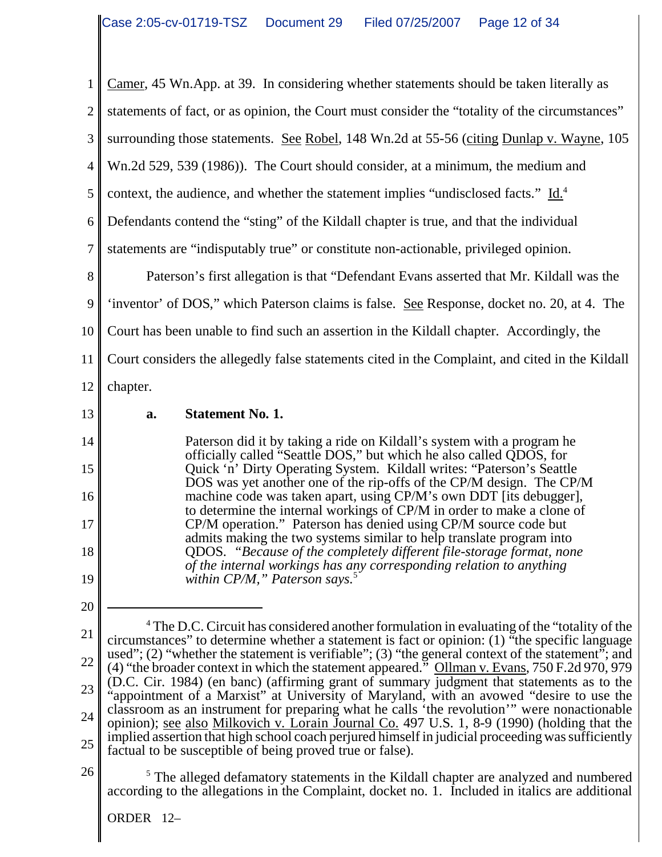1 2 3 4 5 6 7 8 9 10 11 12 Camer, 45 Wn.App. at 39. In considering whether statements should be taken literally as statements of fact, or as opinion, the Court must consider the "totality of the circumstances" surrounding those statements. See Robel, 148 Wn.2d at 55-56 (citing Dunlap v. Wayne, 105 Wn.2d 529, 539 (1986)). The Court should consider, at a minimum, the medium and context, the audience, and whether the statement implies "undisclosed facts." Id.<sup>4</sup> Defendants contend the "sting" of the Kildall chapter is true, and that the individual statements are "indisputably true" or constitute non-actionable, privileged opinion. Paterson's first allegation is that "Defendant Evans asserted that Mr. Kildall was the 'inventor' of DOS," which Paterson claims is false. See Response, docket no. 20, at 4. The Court has been unable to find such an assertion in the Kildall chapter. Accordingly, the Court considers the allegedly false statements cited in the Complaint, and cited in the Kildall chapter.

13

14

15

16

17

18

19

20

#### **a. Statement No. 1.**

Paterson did it by taking a ride on Kildall's system with a program he officially called "Seattle DOS," but which he also called QDOS, for Quick 'n' Dirty Operating System. Kildall writes: "Paterson's Seattle DOS was yet another one of the rip-offs of the CP/M design. The CP/M machine code was taken apart, using CP/M's own DDT [its debugger], to determine the internal workings of CP/M in order to make a clone of CP/M operation." Paterson has denied using CP/M source code but admits making the two systems similar to help translate program into QDOS. *"Because of the completely different file-storage format, none of the internal workings has any corresponding relation to anything within CP/M," Paterson says.*<sup>5</sup>

26

21 22 23 24 25 <sup>4</sup> The D.C. Circuit has considered another formulation in evaluating of the "totality of the circumstances" to determine whether a statement is fact or opinion:  $(1)$  "the specific language used"; (2) "whether the statement is verifiable"; (3) "the general context of the statement"; and (4) "the broader context in which the statement appeared." Ollman v. Evans, 750 F.2d 970, 979 (D.C. Cir. 1984) (en banc) (affirming grant of summary judgment that statements as to the "appointment of a Marxist" at University of Maryland, with an avowed "desire to use the classroom as an instrument for preparing what he calls 'the revolution'" were nonactionable opinion); see also Milkovich v. Lorain Journal Co. 497 U.S. 1, 8-9 (1990) (holding that the implied assertion that high school coach perjured himself in judicial proceeding was sufficiently factual to be susceptible of being proved true or false).

<sup>5</sup> The alleged defamatory statements in the Kildall chapter are analyzed and numbered according to the allegations in the Complaint, docket no. 1. Included in italics are additional

ORDER 12–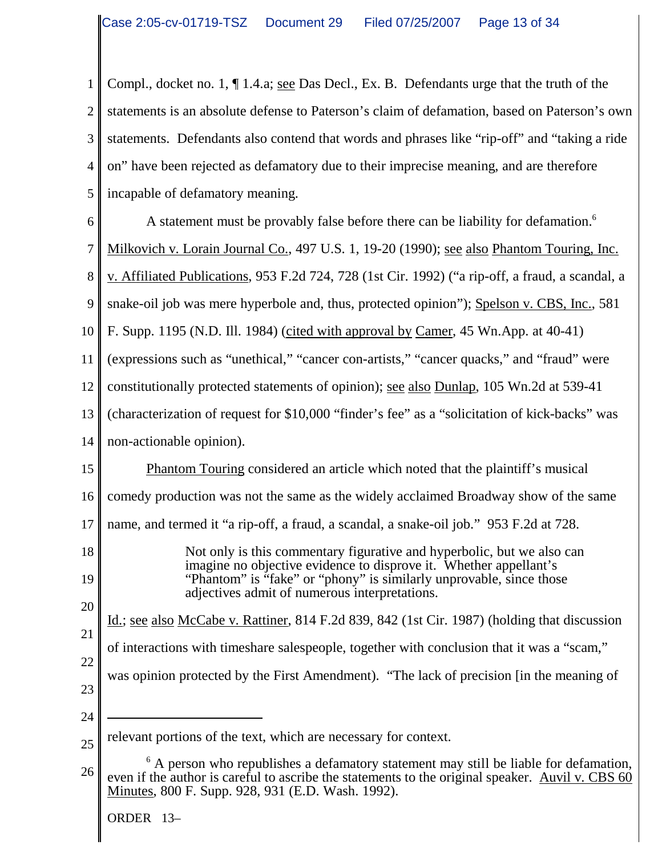1 2 3 4 5 6 7 8 9 10 11 12 13 14 15 16 17 18 19 20 21 22 23 24 25 26 relevant portions of the text, which are necessary for context. <sup>6</sup> A person who republishes a defamatory statement may still be liable for defamation, even if the author is careful to ascribe the statements to the original speaker. Auvil v. CBS 60 Minutes, 800 F. Supp. 928, 931 (E.D. Wash. 1992). ORDER 13– Compl., docket no. 1, ¶ 1.4.a; see Das Decl., Ex. B. Defendants urge that the truth of the statements is an absolute defense to Paterson's claim of defamation, based on Paterson's own statements. Defendants also contend that words and phrases like "rip-off" and "taking a ride on" have been rejected as defamatory due to their imprecise meaning, and are therefore incapable of defamatory meaning. A statement must be provably false before there can be liability for defamation.<sup>6</sup> Milkovich v. Lorain Journal Co., 497 U.S. 1, 19-20 (1990); <u>see also Phantom Touring, Inc.</u> v. Affiliated Publications, 953 F.2d 724, 728 (1st Cir. 1992) ("a rip-off, a fraud, a scandal, a snake-oil job was mere hyperbole and, thus, protected opinion"); Spelson v. CBS, Inc., 581 F. Supp. 1195 (N.D. Ill. 1984) (cited with approval by Camer, 45 Wn.App. at 40-41) (expressions such as "unethical," "cancer con-artists," "cancer quacks," and "fraud" were constitutionally protected statements of opinion); see also Dunlap, 105 Wn.2d at 539-41 (characterization of request for \$10,000 "finder's fee" as a "solicitation of kick-backs" was non-actionable opinion). Phantom Touring considered an article which noted that the plaintiff's musical comedy production was not the same as the widely acclaimed Broadway show of the same name, and termed it "a rip-off, a fraud, a scandal, a snake-oil job." 953 F.2d at 728. Not only is this commentary figurative and hyperbolic, but we also can imagine no objective evidence to disprove it. Whether appellant's "Phantom" is "fake" or "phony" is similarly unprovable, since those adjectives admit of numerous interpretations. Id.; see also McCabe v. Rattiner, 814 F.2d 839, 842 (1st Cir. 1987) (holding that discussion of interactions with timeshare salespeople, together with conclusion that it was a "scam," was opinion protected by the First Amendment). "The lack of precision [in the meaning of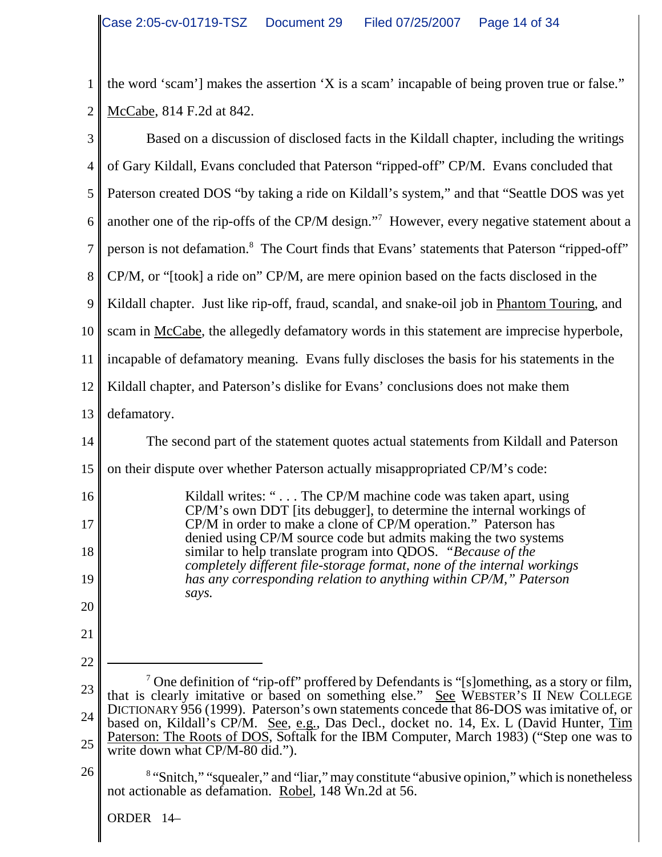1 2 the word 'scam'] makes the assertion 'X is a scam' incapable of being proven true or false." McCabe, 814 F.2d at 842.

| 3              | Based on a discussion of disclosed facts in the Kildall chapter, including the writings                                                                                                      |
|----------------|----------------------------------------------------------------------------------------------------------------------------------------------------------------------------------------------|
| $\overline{4}$ | of Gary Kildall, Evans concluded that Paterson "ripped-off" CP/M. Evans concluded that                                                                                                       |
| 5              | Paterson created DOS "by taking a ride on Kildall's system," and that "Seattle DOS was yet                                                                                                   |
| 6              | another one of the rip-offs of the CP/M design." <sup>7</sup> However, every negative statement about a                                                                                      |
| 7              | person is not defamation. <sup>8</sup> The Court finds that Evans' statements that Paterson "ripped-off"                                                                                     |
| 8              | CP/M, or "[took] a ride on" CP/M, are mere opinion based on the facts disclosed in the                                                                                                       |
| 9              | Kildall chapter. Just like rip-off, fraud, scandal, and snake-oil job in Phantom Touring, and                                                                                                |
| 10             | scam in McCabe, the allegedly defamatory words in this statement are imprecise hyperbole,                                                                                                    |
| 11             | incapable of defamatory meaning. Evans fully discloses the basis for his statements in the                                                                                                   |
| 12             | Kildall chapter, and Paterson's dislike for Evans' conclusions does not make them                                                                                                            |
| 13             | defamatory.                                                                                                                                                                                  |
| 14             | The second part of the statement quotes actual statements from Kildall and Paterson                                                                                                          |
| 15             | on their dispute over whether Paterson actually misappropriated CP/M's code:                                                                                                                 |
| 16             | Kildall writes: " The CP/M machine code was taken apart, using<br>CP/M's own DDT [its debugger], to determine the internal workings of                                                       |
| 17             | CP/M in order to make a clone of CP/M operation." Paterson has<br>denied using CP/M source code but admits making the two systems                                                            |
| 18             | similar to help translate program into QDOS. "Because of the<br>completely different file-storage format, none of the internal workings                                                      |
| 19             | has any corresponding relation to anything within CP/M," Paterson<br>says.                                                                                                                   |
| 20             |                                                                                                                                                                                              |
| 21             |                                                                                                                                                                                              |
| 22             |                                                                                                                                                                                              |
| 23             | <sup>7</sup> One definition of "rip-off" proffered by Defendants is "[s]omething, as a story or film,<br>that is clearly imitative or based on something else." See WEBSTER'S II NEW COLLEGE |
| 24             | DICTIONARY 956 (1999). Paterson's own statements concede that 86-DOS was imitative of, or<br>based on, Kildall's CP/M. See, e.g., Das Decl., docket no. 14, Ex. L (David Hunter, Tim         |
| 25             | Paterson: The Roots of DOS, Softalk for the IBM Computer, March 1983) ("Step one was to<br>write down what CP/M-80 did.").                                                                   |
| 26             | <sup>8</sup> "Snitch," "squealer," and "liar," may constitute "abusive opinion," which is nonetheless<br>not actionable as defamation. Robel, 148 Wn.2d at 56.                               |
|                | ORDER 14-                                                                                                                                                                                    |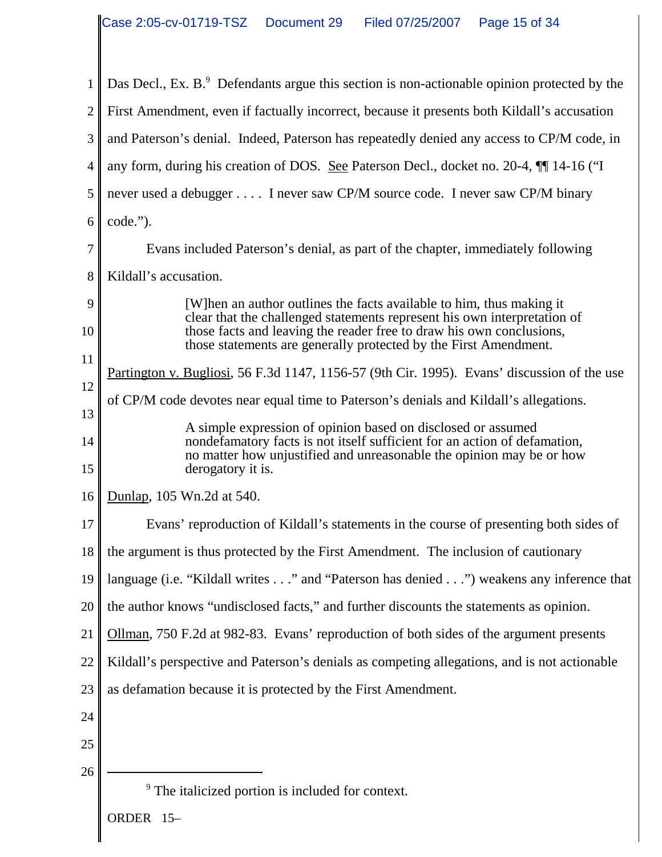| 1              | Das Decl., Ex. B. <sup>9</sup> Defendants argue this section is non-actionable opinion protected by the                                                                                                                                                                                      |
|----------------|----------------------------------------------------------------------------------------------------------------------------------------------------------------------------------------------------------------------------------------------------------------------------------------------|
| $\mathbf{2}$   | First Amendment, even if factually incorrect, because it presents both Kildall's accusation                                                                                                                                                                                                  |
| 3              | and Paterson's denial. Indeed, Paterson has repeatedly denied any access to CP/M code, in                                                                                                                                                                                                    |
| $\overline{4}$ | any form, during his creation of DOS. See Paterson Decl., docket no. 20-4, [1] 14-16 ("I                                                                                                                                                                                                     |
| 5              | never used a debugger I never saw CP/M source code. I never saw CP/M binary                                                                                                                                                                                                                  |
| 6              | code.").                                                                                                                                                                                                                                                                                     |
| 7              | Evans included Paterson's denial, as part of the chapter, immediately following                                                                                                                                                                                                              |
| 8              | Kildall's accusation.                                                                                                                                                                                                                                                                        |
| 9<br>10        | [W]hen an author outlines the facts available to him, thus making it<br>clear that the challenged statements represent his own interpretation of<br>those facts and leaving the reader free to draw his own conclusions,<br>those statements are generally protected by the First Amendment. |
| 11             | Partington v. Bugliosi, 56 F.3d 1147, 1156-57 (9th Cir. 1995). Evans' discussion of the use                                                                                                                                                                                                  |
| 12             | of CP/M code devotes near equal time to Paterson's denials and Kildall's allegations.                                                                                                                                                                                                        |
| 13<br>14<br>15 | A simple expression of opinion based on disclosed or assumed<br>nondefamatory facts is not itself sufficient for an action of defamation,<br>no matter how unjustified and unreasonable the opinion may be or how<br>derogatory it is.                                                       |
| 16             | Dunlap, 105 Wn.2d at 540.                                                                                                                                                                                                                                                                    |
| 17             | Evans' reproduction of Kildall's statements in the course of presenting both sides of                                                                                                                                                                                                        |
| 18             | the argument is thus protected by the First Amendment. The inclusion of cautionary                                                                                                                                                                                                           |
| 19             | language (i.e. "Kildall writes" and "Paterson has denied") weakens any inference that                                                                                                                                                                                                        |
| 20             | the author knows "undisclosed facts," and further discounts the statements as opinion.                                                                                                                                                                                                       |
| 21             | Ollman, 750 F.2d at 982-83. Evans' reproduction of both sides of the argument presents                                                                                                                                                                                                       |
| 22             | Kildall's perspective and Paterson's denials as competing allegations, and is not actionable                                                                                                                                                                                                 |
| 23             | as defamation because it is protected by the First Amendment.                                                                                                                                                                                                                                |
| 24             |                                                                                                                                                                                                                                                                                              |
| 25             |                                                                                                                                                                                                                                                                                              |
| 26             |                                                                                                                                                                                                                                                                                              |
|                | <sup>9</sup> The italicized portion is included for context.                                                                                                                                                                                                                                 |
|                | ORDER 15-                                                                                                                                                                                                                                                                                    |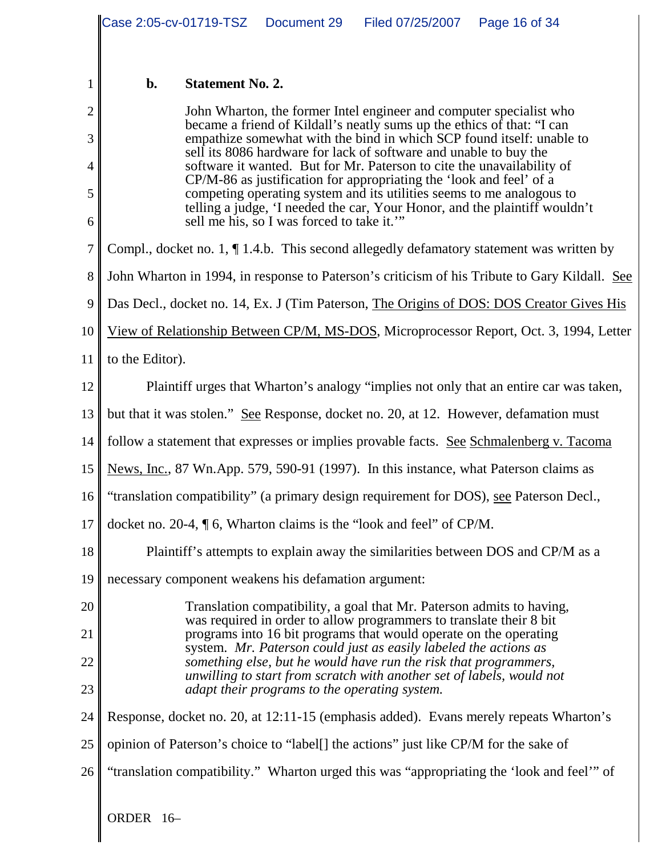|                |                                                                                                                                                 | Case 2:05-cv-01719-TSZ                                                                                                                                                                                                                                                  | Document 29                                          | Filed 07/25/2007   Page 16 of 34                                                                                                     |                                                                                               |  |
|----------------|-------------------------------------------------------------------------------------------------------------------------------------------------|-------------------------------------------------------------------------------------------------------------------------------------------------------------------------------------------------------------------------------------------------------------------------|------------------------------------------------------|--------------------------------------------------------------------------------------------------------------------------------------|-----------------------------------------------------------------------------------------------|--|
|                |                                                                                                                                                 |                                                                                                                                                                                                                                                                         |                                                      |                                                                                                                                      |                                                                                               |  |
| 1              | $b$ .                                                                                                                                           | <b>Statement No. 2.</b>                                                                                                                                                                                                                                                 |                                                      |                                                                                                                                      |                                                                                               |  |
| $\overline{2}$ |                                                                                                                                                 |                                                                                                                                                                                                                                                                         |                                                      | John Wharton, the former Intel engineer and computer specialist who                                                                  |                                                                                               |  |
| 3              | became a friend of Kildall's neatly sums up the ethics of that: "I can<br>empathize somewhat with the bind in which SCP found itself: unable to |                                                                                                                                                                                                                                                                         |                                                      |                                                                                                                                      |                                                                                               |  |
| 4              | sell its 8086 hardware for lack of software and unable to buy the<br>software it wanted. But for Mr. Paterson to cite the unavailability of     |                                                                                                                                                                                                                                                                         |                                                      |                                                                                                                                      |                                                                                               |  |
| 5<br>6         |                                                                                                                                                 | CP/M-86 as justification for appropriating the 'look and feel' of a<br>competing operating system and its utilities seems to me analogous to<br>telling a judge, 'I needed the car, Your Honor, and the plaintiff wouldn't<br>sell me his, so I was forced to take it." |                                                      |                                                                                                                                      |                                                                                               |  |
| 7              |                                                                                                                                                 |                                                                                                                                                                                                                                                                         |                                                      |                                                                                                                                      | Compl., docket no. 1, $\P$ 1.4.b. This second allegedly defamatory statement was written by   |  |
| 8              |                                                                                                                                                 |                                                                                                                                                                                                                                                                         |                                                      |                                                                                                                                      | John Wharton in 1994, in response to Paterson's criticism of his Tribute to Gary Kildall. See |  |
| 9              |                                                                                                                                                 |                                                                                                                                                                                                                                                                         |                                                      |                                                                                                                                      | Das Decl., docket no. 14, Ex. J (Tim Paterson, The Origins of DOS: DOS Creator Gives His      |  |
| 10             |                                                                                                                                                 |                                                                                                                                                                                                                                                                         |                                                      |                                                                                                                                      |                                                                                               |  |
| 11             | View of Relationship Between CP/M, MS-DOS, Microprocessor Report, Oct. 3, 1994, Letter<br>to the Editor).                                       |                                                                                                                                                                                                                                                                         |                                                      |                                                                                                                                      |                                                                                               |  |
| 12             | Plaintiff urges that Wharton's analogy "implies not only that an entire car was taken,                                                          |                                                                                                                                                                                                                                                                         |                                                      |                                                                                                                                      |                                                                                               |  |
| 13             | but that it was stolen." See Response, docket no. 20, at 12. However, defamation must                                                           |                                                                                                                                                                                                                                                                         |                                                      |                                                                                                                                      |                                                                                               |  |
| 14             | follow a statement that expresses or implies provable facts. See Schmalenberg v. Tacoma                                                         |                                                                                                                                                                                                                                                                         |                                                      |                                                                                                                                      |                                                                                               |  |
| 15             | News, Inc., 87 Wn.App. 579, 590-91 (1997). In this instance, what Paterson claims as                                                            |                                                                                                                                                                                                                                                                         |                                                      |                                                                                                                                      |                                                                                               |  |
| 16             |                                                                                                                                                 |                                                                                                                                                                                                                                                                         |                                                      |                                                                                                                                      | "translation compatibility" (a primary design requirement for DOS), see Paterson Decl.,       |  |
| 17             |                                                                                                                                                 |                                                                                                                                                                                                                                                                         |                                                      | docket no. 20-4, $\sqrt{\phantom{a}}$ 6, Wharton claims is the "look and feel" of CP/M.                                              |                                                                                               |  |
| 18             |                                                                                                                                                 |                                                                                                                                                                                                                                                                         |                                                      |                                                                                                                                      | Plaintiff's attempts to explain away the similarities between DOS and CP/M as a               |  |
| 19             |                                                                                                                                                 |                                                                                                                                                                                                                                                                         | necessary component weakens his defamation argument: |                                                                                                                                      |                                                                                               |  |
| 20             |                                                                                                                                                 |                                                                                                                                                                                                                                                                         |                                                      | Translation compatibility, a goal that Mr. Paterson admits to having,                                                                |                                                                                               |  |
| 21             | was required in order to allow programmers to translate their 8 bit<br>programs into 16 bit programs that would operate on the operating        |                                                                                                                                                                                                                                                                         |                                                      |                                                                                                                                      |                                                                                               |  |
| 22             |                                                                                                                                                 |                                                                                                                                                                                                                                                                         |                                                      | system. Mr. Paterson could just as easily labeled the actions as<br>something else, but he would have run the risk that programmers, |                                                                                               |  |
| 23             | unwilling to start from scratch with another set of labels, would not<br>adapt their programs to the operating system.                          |                                                                                                                                                                                                                                                                         |                                                      |                                                                                                                                      |                                                                                               |  |
| 24             |                                                                                                                                                 |                                                                                                                                                                                                                                                                         |                                                      |                                                                                                                                      | Response, docket no. 20, at 12:11-15 (emphasis added). Evans merely repeats Wharton's         |  |
| 25             |                                                                                                                                                 |                                                                                                                                                                                                                                                                         |                                                      | opinion of Paterson's choice to "label[] the actions" just like CP/M for the sake of                                                 |                                                                                               |  |
| 26             | "translation compatibility." Wharton urged this was "appropriating the 'look and feel'" of                                                      |                                                                                                                                                                                                                                                                         |                                                      |                                                                                                                                      |                                                                                               |  |
|                | ORDER 16-                                                                                                                                       |                                                                                                                                                                                                                                                                         |                                                      |                                                                                                                                      |                                                                                               |  |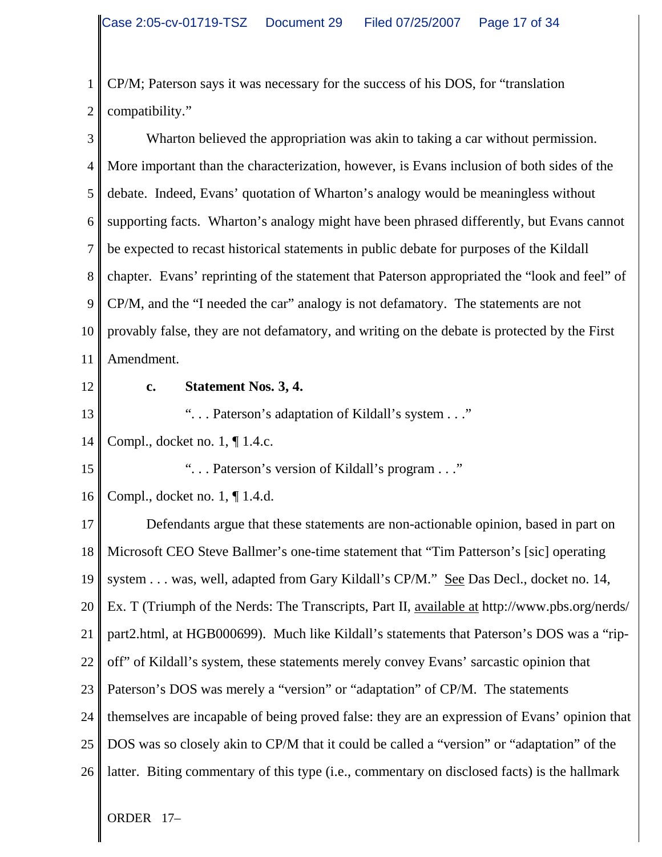1 2 CP/M; Paterson says it was necessary for the success of his DOS, for "translation compatibility."

| 3              | Wharton believed the appropriation was akin to taking a car without permission.               |
|----------------|-----------------------------------------------------------------------------------------------|
| $\overline{4}$ | More important than the characterization, however, is Evans inclusion of both sides of the    |
| 5              | debate. Indeed, Evans' quotation of Wharton's analogy would be meaningless without            |
| 6              | supporting facts. Wharton's analogy might have been phrased differently, but Evans cannot     |
| $\overline{7}$ | be expected to recast historical statements in public debate for purposes of the Kildall      |
| 8              | chapter. Evans' reprinting of the statement that Paterson appropriated the "look and feel" of |
| 9              | CP/M, and the "I needed the car" analogy is not defamatory. The statements are not            |
| 10             | provably false, they are not defamatory, and writing on the debate is protected by the First  |
| 11             | Amendment.                                                                                    |
| 12             | <b>Statement Nos. 3, 4.</b><br>c.                                                             |
| 13             | " Paterson's adaptation of Kildall's system "                                                 |
| 14             | Compl., docket no. 1, ¶ 1.4.c.                                                                |
| 15             | " Paterson's version of Kildall's program"                                                    |
| 16             | Compl., docket no. $1, \P$ 1.4.d.                                                             |
| 17             | Defendants argue that these statements are non-actionable opinion, based in part on           |
| 18             | Microsoft CEO Steve Ballmer's one-time statement that "Tim Patterson's [sic] operating        |
| 19             | system was, well, adapted from Gary Kildall's CP/M." See Das Decl., docket no. 14,            |
| 20             | Ex. T (Triumph of the Nerds: The Transcripts, Part II, available at http://www.pbs.org/nerds/ |
| 21             | part2.html, at HGB000699). Much like Kildall's statements that Paterson's DOS was a "rip-     |
| 22             | off" of Kildall's system, these statements merely convey Evans' sarcastic opinion that        |
| 23             | Paterson's DOS was merely a "version" or "adaptation" of CP/M. The statements                 |
| 24             | themselves are incapable of being proved false: they are an expression of Evans' opinion that |
| 25             | DOS was so closely akin to CP/M that it could be called a "version" or "adaptation" of the    |
| 26             | latter. Biting commentary of this type (i.e., commentary on disclosed facts) is the hallmark  |
|                | ORDER 17-                                                                                     |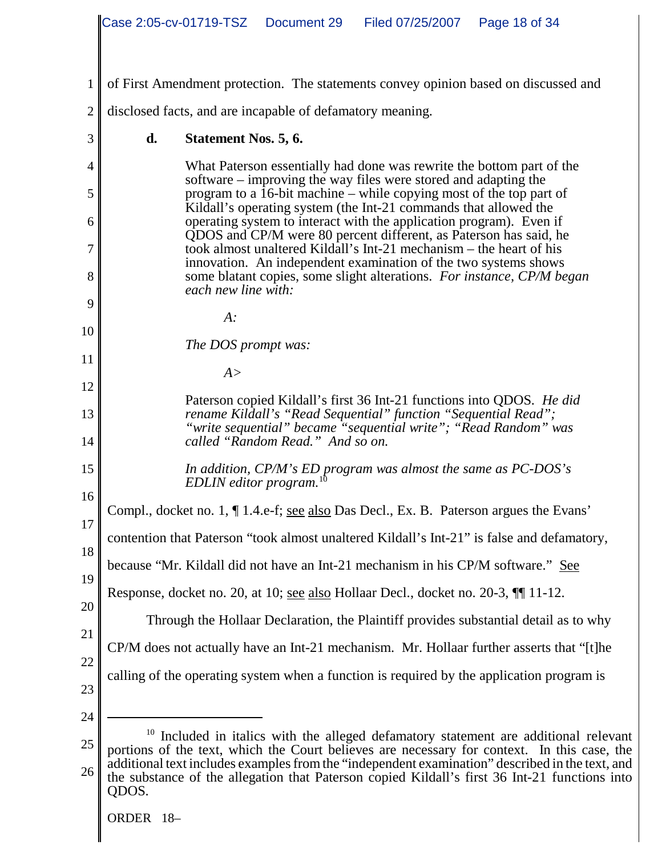|                | Case 2:05-cv-01719-TSZ Document 29<br>Filed 07/25/2007<br>Page 18 of 34                                                                                                                                         |
|----------------|-----------------------------------------------------------------------------------------------------------------------------------------------------------------------------------------------------------------|
|                |                                                                                                                                                                                                                 |
| 1              | of First Amendment protection. The statements convey opinion based on discussed and                                                                                                                             |
| $\overline{2}$ | disclosed facts, and are incapable of defamatory meaning.                                                                                                                                                       |
| 3              | d.<br>Statement Nos. 5, 6.                                                                                                                                                                                      |
| 4              | What Paterson essentially had done was rewrite the bottom part of the<br>software – improving the way files were stored and adapting the                                                                        |
| 5              | program to a 16-bit machine – while copying most of the top part of<br>Kildall's operating system (the Int-21 commands that allowed the                                                                         |
| 6<br>7         | operating system to interact with the application program). Even if<br>QDOS and CP/M were 80 percent different, as Paterson has said, he<br>took almost unaltered Kildall's Int-21 mechanism – the heart of his |
| 8              | innovation. An independent examination of the two systems shows<br>some blatant copies, some slight alterations. For instance, CP/M began<br>each new line with:                                                |
| 9              |                                                                                                                                                                                                                 |
| 10             | $A$ :                                                                                                                                                                                                           |
| 11             | The DOS prompt was:<br>A >                                                                                                                                                                                      |
| 12             |                                                                                                                                                                                                                 |
| 13             | Paterson copied Kildall's first 36 Int-21 functions into QDOS. He did<br>rename Kildall's "Read Sequential" function "Sequential Read";<br>"write sequential" became "sequential write"; "Read Random" was      |
| 14             | called "Random Read." And so on.                                                                                                                                                                                |
| 15<br>16       | In addition, $CP/M$ 's ED program was almost the same as $PC$ -DOS's $FDIN$ editor program $10$<br>EDLIN editor program.                                                                                        |
| 17             | Compl., docket no. 1, ¶ 1.4.e-f; see also Das Decl., Ex. B. Paterson argues the Evans'                                                                                                                          |
| 18             | contention that Paterson "took almost unaltered Kildall's Int-21" is false and defamatory,                                                                                                                      |
| 19             | because "Mr. Kildall did not have an Int-21 mechanism in his CP/M software." See                                                                                                                                |
| 20             | Response, docket no. 20, at 10; see also Hollaar Decl., docket no. 20-3, $\P$ 11-12.                                                                                                                            |
| 21             | Through the Hollaar Declaration, the Plaintiff provides substantial detail as to why                                                                                                                            |
|                | CP/M does not actually have an Int-21 mechanism. Mr. Hollaar further asserts that "[t]he                                                                                                                        |
| 22<br>23       | calling of the operating system when a function is required by the application program is                                                                                                                       |
| 24             |                                                                                                                                                                                                                 |
| 25             | 10<br>Included in italics with the alleged defamatory statement are additional relevant<br>portions of the text, which the Court believes are necessary for context. In this case, the                          |
| 26             | additional text includes examples from the "independent examination" described in the text, and<br>the substance of the allegation that Paterson copied Kildall's first 36 Int-21 functions into<br>QDOS.       |
|                | ORDER 18-                                                                                                                                                                                                       |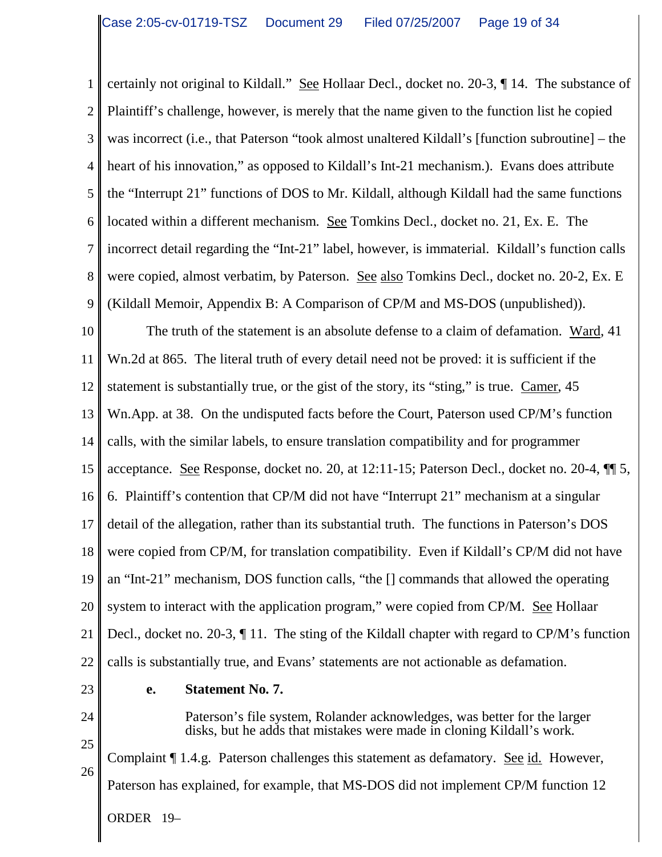1 2 3 4 5 6 7 8 9 certainly not original to Kildall." See Hollaar Decl., docket no. 20-3, ¶ 14. The substance of Plaintiff's challenge, however, is merely that the name given to the function list he copied was incorrect (i.e., that Paterson "took almost unaltered Kildall's [function subroutine] – the heart of his innovation," as opposed to Kildall's Int-21 mechanism.). Evans does attribute the "Interrupt 21" functions of DOS to Mr. Kildall, although Kildall had the same functions located within a different mechanism. See Tomkins Decl., docket no. 21, Ex. E. The incorrect detail regarding the "Int-21" label, however, is immaterial. Kildall's function calls were copied, almost verbatim, by Paterson. See also Tomkins Decl., docket no. 20-2, Ex. E (Kildall Memoir, Appendix B: A Comparison of CP/M and MS-DOS (unpublished)).

10 11 12 13 14 15 16 17 18 19 20 21 22 The truth of the statement is an absolute defense to a claim of defamation. Ward, 41 Wn.2d at 865. The literal truth of every detail need not be proved: it is sufficient if the statement is substantially true, or the gist of the story, its "sting," is true. Camer, 45 Wn.App. at 38. On the undisputed facts before the Court, Paterson used CP/M's function calls, with the similar labels, to ensure translation compatibility and for programmer acceptance. See Response, docket no. 20, at 12:11-15; Paterson Decl., docket no. 20-4, ¶¶ 5, 6. Plaintiff's contention that CP/M did not have "Interrupt 21" mechanism at a singular detail of the allegation, rather than its substantial truth. The functions in Paterson's DOS were copied from CP/M, for translation compatibility. Even if Kildall's CP/M did not have an "Int-21" mechanism, DOS function calls, "the [] commands that allowed the operating system to interact with the application program," were copied from CP/M. See Hollaar Decl., docket no. 20-3, ¶ 11. The sting of the Kildall chapter with regard to CP/M's function calls is substantially true, and Evans' statements are not actionable as defamation.

23

**e. Statement No. 7.** 

24 25

26

ORDER 19– disks, but he adds that mistakes were made in cloning Kildall's work. Complaint  $\P$  1.4.g. Paterson challenges this statement as defamatory. See id. However, Paterson has explained, for example, that MS-DOS did not implement CP/M function 12

Paterson's file system, Rolander acknowledges, was better for the larger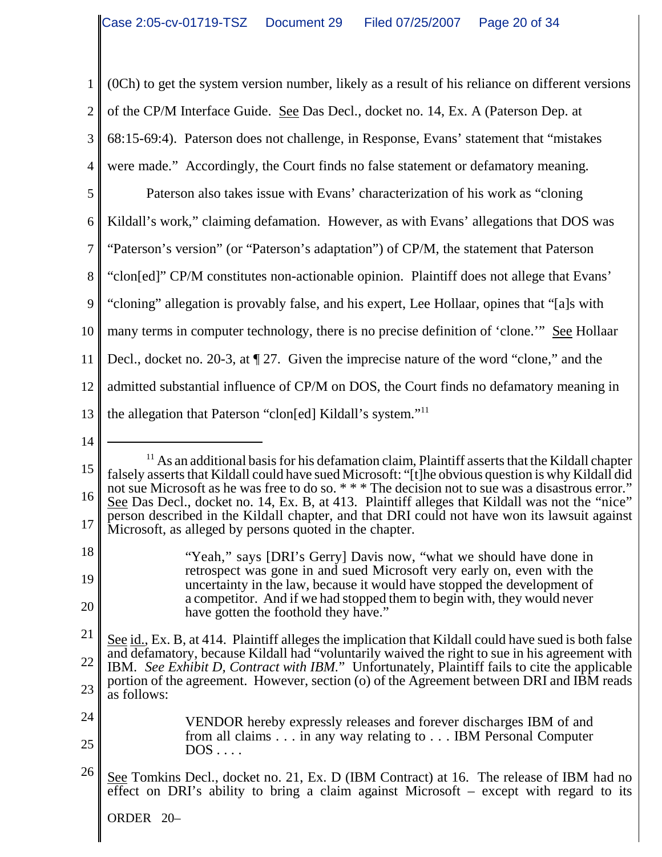1 2 3 4 5 6 7 8 9 10 11 12 13 14 15  $<sup>11</sup>$  As an additional basis for his defamation claim, Plaintiff asserts that the Kildall chapter</sup> falsely asserts that Kildall could have sued Microsoft: "[t]he obvious question is why Kildall did (0Ch) to get the system version number, likely as a result of his reliance on different versions of the CP/M Interface Guide. See Das Decl., docket no. 14, Ex. A (Paterson Dep. at 68:15-69:4). Paterson does not challenge, in Response, Evans' statement that "mistakes were made." Accordingly, the Court finds no false statement or defamatory meaning. Paterson also takes issue with Evans' characterization of his work as "cloning Kildall's work," claiming defamation. However, as with Evans' allegations that DOS was "Paterson's version" (or "Paterson's adaptation") of CP/M, the statement that Paterson "clon[ed]" CP/M constitutes non-actionable opinion. Plaintiff does not allege that Evans' "cloning" allegation is provably false, and his expert, Lee Hollaar, opines that "[a]s with many terms in computer technology, there is no precise definition of 'clone.'" See Hollaar Decl., docket no. 20-3, at ¶ 27. Given the imprecise nature of the word "clone," and the admitted substantial influence of CP/M on DOS, the Court finds no defamatory meaning in the allegation that Paterson "clon[ed] Kildall's system."11

#### 24 25 VENDOR hereby expressly releases and forever discharges IBM of and from all claims . . . in any way relating to . . . IBM Personal Computer DOS . . . .

26 See Tomkins Decl., docket no. 21, Ex. D (IBM Contract) at 16. The release of IBM had no effect on DRI's ability to bring a claim against Microsoft – except with regard to its

ORDER 20–

<sup>16</sup> 17 not sue Microsoft as he was free to do so. \*\*\* The decision not to sue was a disastrous error." See Das Decl., docket no. 14, Ex. B, at 413. Plaintiff alleges that Kildall was not the "nice" person described in the Kildall chapter, and that DRI could not have won its lawsuit against Microsoft, as alleged by persons quoted in the chapter.

<sup>18</sup> 19 20 "Yeah," says [DRI's Gerry] Davis now, "what we should have done in retrospect was gone in and sued Microsoft very early on, even with the uncertainty in the law, because it would have stopped the development of a competitor. And if we had stopped them to begin with, they would never have gotten the foothold they have."

<sup>21</sup> 22 23 See id., Ex. B, at 414. Plaintiff alleges the implication that Kildall could have sued is both false and defamatory, because Kildall had "voluntarily waived the right to sue in his agreement with IBM. *See Exhibit D, Contract with IBM.*" Unfortunately, Plaintiff fails to cite the applicable portion of the agreement. However, section (o) of the Agreement between DRI and IBM reads as follows: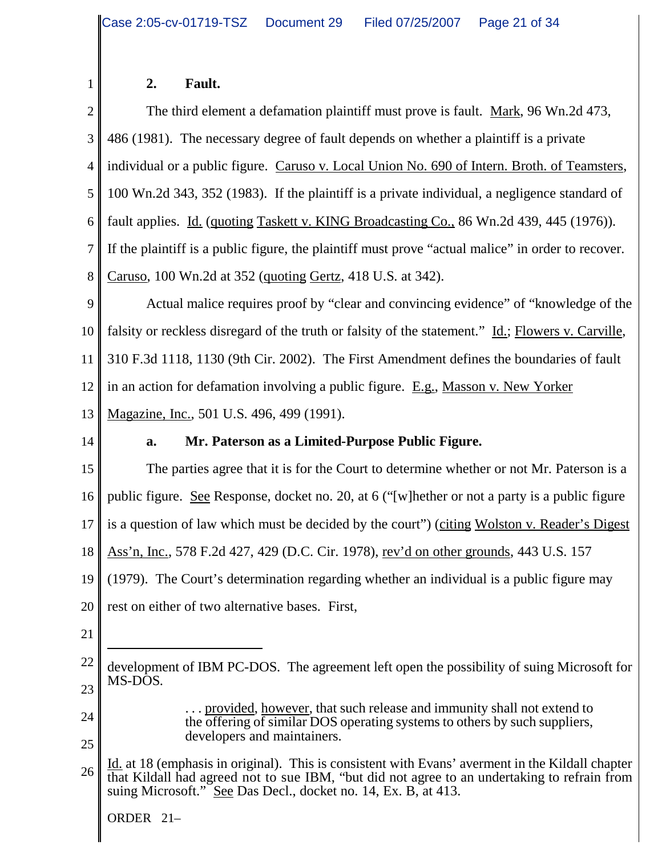#### **2. Fault.**

2 3 4 5 6 7 8 9 The third element a defamation plaintiff must prove is fault. Mark, 96 Wn.2d 473, 486 (1981). The necessary degree of fault depends on whether a plaintiff is a private individual or a public figure. Caruso v. Local Union No. 690 of Intern. Broth. of Teamsters, 100 Wn.2d 343, 352 (1983). If the plaintiff is a private individual, a negligence standard of fault applies. Id. (quoting Taskett v. KING Broadcasting Co., 86 Wn.2d 439, 445 (1976)). If the plaintiff is a public figure, the plaintiff must prove "actual malice" in order to recover. Caruso, 100 Wn.2d at 352 (quoting Gertz, 418 U.S. at 342). Actual malice requires proof by "clear and convincing evidence" of "knowledge of the

10 11 12 13 falsity or reckless disregard of the truth or falsity of the statement." Id.; Flowers v. Carville, 310 F.3d 1118, 1130 (9th Cir. 2002). The First Amendment defines the boundaries of fault in an action for defamation involving a public figure. E.g., Masson v. New Yorker Magazine, Inc., 501 U.S. 496, 499 (1991).

14

1

### **a. Mr. Paterson as a Limited-Purpose Public Figure.**

15 16 17 18 19 20 The parties agree that it is for the Court to determine whether or not Mr. Paterson is a public figure. See Response, docket no. 20, at 6 ("[w]hether or not a party is a public figure is a question of law which must be decided by the court") (citing Wolston v. Reader's Digest Ass'n, Inc., 578 F.2d 427, 429 (D.C. Cir. 1978), rev'd on other grounds, 443 U.S. 157 (1979). The Court's determination regarding whether an individual is a public figure may rest on either of two alternative bases. First,

21

24

. . . provided, however, that such release and immunity shall not extend to the offering of similar DOS operating systems to others by such suppliers, developers and maintainers.

<sup>22</sup> 23 development of IBM PC-DOS. The agreement left open the possibility of suing Microsoft for MS-DOS.

<sup>25</sup> 26 Id. at 18 (emphasis in original). This is consistent with Evans' averment in the Kildall chapter that Kildall had agreed not to sue IBM, "but did not agree to an undertaking to refrain from suing Microsoft." See Das Decl., docket no. 14, Ex. B, at 413.

ORDER 21–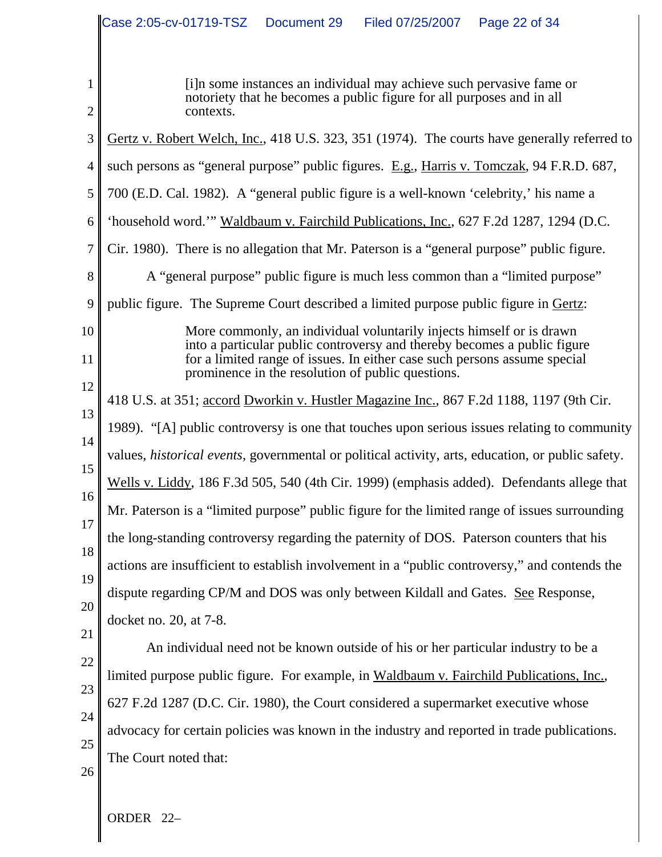|                                                                                        | Case 2:05-cv-01719-TSZ<br>Document 29<br>Filed 07/25/2007<br>Page 22 of 34                                                                                                                                                                                                                                                                                                                                                                                                                                                                                                                                                                                                                                                                                                                                                                                                                                                                                                                                                                                                                                                                                                                                                                                                                                                                                                                                                                                                 |
|----------------------------------------------------------------------------------------|----------------------------------------------------------------------------------------------------------------------------------------------------------------------------------------------------------------------------------------------------------------------------------------------------------------------------------------------------------------------------------------------------------------------------------------------------------------------------------------------------------------------------------------------------------------------------------------------------------------------------------------------------------------------------------------------------------------------------------------------------------------------------------------------------------------------------------------------------------------------------------------------------------------------------------------------------------------------------------------------------------------------------------------------------------------------------------------------------------------------------------------------------------------------------------------------------------------------------------------------------------------------------------------------------------------------------------------------------------------------------------------------------------------------------------------------------------------------------|
| 1<br>$\overline{2}$                                                                    | [ <i>i</i> ] In some instances an individual may achieve such pervasive fame or<br>notoriety that he becomes a public figure for all purposes and in all<br>contexts.                                                                                                                                                                                                                                                                                                                                                                                                                                                                                                                                                                                                                                                                                                                                                                                                                                                                                                                                                                                                                                                                                                                                                                                                                                                                                                      |
| 3<br>4<br>5<br>6<br>7<br>8                                                             | Gertz v. Robert Welch, Inc., 418 U.S. 323, 351 (1974). The courts have generally referred to<br>such persons as "general purpose" public figures. E.g., Harris v. Tomczak, 94 F.R.D. 687,<br>700 (E.D. Cal. 1982). A "general public figure is a well-known 'celebrity,' his name a<br>'household word." Waldbaum v. Fairchild Publications, Inc., 627 F.2d 1287, 1294 (D.C.<br>Cir. 1980). There is no allegation that Mr. Paterson is a "general purpose" public figure.<br>A "general purpose" public figure is much less common than a "limited purpose"                                                                                                                                                                                                                                                                                                                                                                                                                                                                                                                                                                                                                                                                                                                                                                                                                                                                                                               |
| 9                                                                                      | public figure. The Supreme Court described a limited purpose public figure in Gertz:                                                                                                                                                                                                                                                                                                                                                                                                                                                                                                                                                                                                                                                                                                                                                                                                                                                                                                                                                                                                                                                                                                                                                                                                                                                                                                                                                                                       |
| 10<br>11<br>12<br>13<br>14<br>15<br>16<br>17<br>18<br>19<br>20<br>21<br>22<br>23<br>24 | More commonly, an individual voluntarily injects himself or is drawn<br>into a particular public controversy and thereby becomes a public figure<br>for a limited range of issues. In either case such persons assume special<br>prominence in the resolution of public questions.<br>418 U.S. at 351; accord Dworkin v. Hustler Magazine Inc., 867 F.2d 1188, 1197 (9th Cir.<br>1989). "[A] public controversy is one that touches upon serious issues relating to community<br>values, <i>historical events</i> , governmental or political activity, arts, education, or public safety.<br>Wells v. Liddy, 186 F.3d 505, 540 (4th Cir. 1999) (emphasis added). Defendants allege that<br>Mr. Paterson is a "limited purpose" public figure for the limited range of issues surrounding<br>the long-standing controversy regarding the paternity of DOS. Paterson counters that his<br>actions are insufficient to establish involvement in a "public controversy," and contends the<br>dispute regarding CP/M and DOS was only between Kildall and Gates. See Response,<br>docket no. 20, at 7-8.<br>An individual need not be known outside of his or her particular industry to be a<br>limited purpose public figure. For example, in Waldbaum v. Fairchild Publications, Inc.,<br>627 F.2d 1287 (D.C. Cir. 1980), the Court considered a supermarket executive whose<br>advocacy for certain policies was known in the industry and reported in trade publications. |
| 25<br>26                                                                               | The Court noted that:                                                                                                                                                                                                                                                                                                                                                                                                                                                                                                                                                                                                                                                                                                                                                                                                                                                                                                                                                                                                                                                                                                                                                                                                                                                                                                                                                                                                                                                      |
|                                                                                        |                                                                                                                                                                                                                                                                                                                                                                                                                                                                                                                                                                                                                                                                                                                                                                                                                                                                                                                                                                                                                                                                                                                                                                                                                                                                                                                                                                                                                                                                            |

ORDER 22-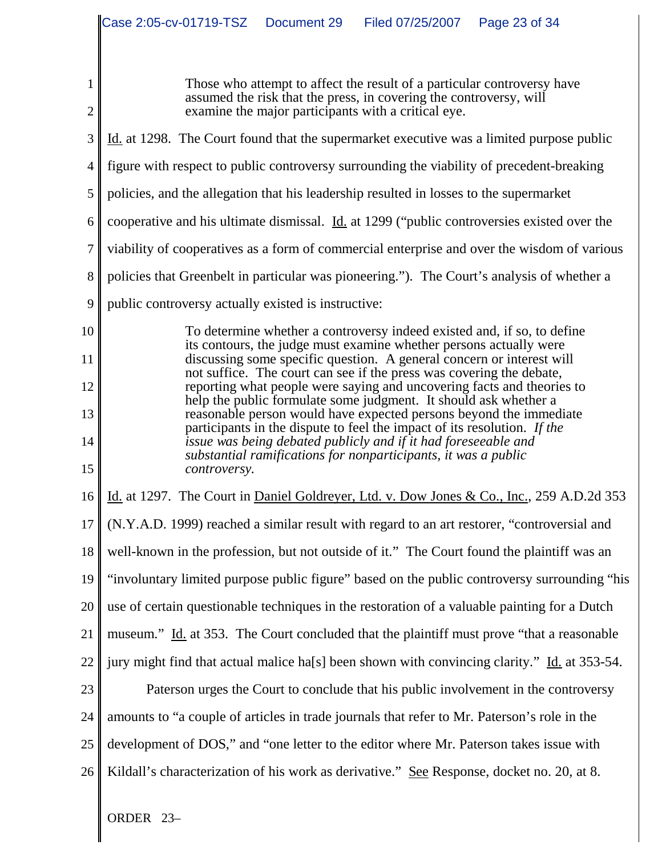|                | Case 2:05-cv-01719-TSZ  Document 29<br>Filed 07/25/2007   Page 23 of 34                                                                          |
|----------------|--------------------------------------------------------------------------------------------------------------------------------------------------|
|                |                                                                                                                                                  |
| 1              | Those who attempt to affect the result of a particular controversy have                                                                          |
| $\mathbf{2}$   | assumed the risk that the press, in covering the controversy, will<br>examine the major participants with a critical eye.                        |
| 3              | Id. at 1298. The Court found that the supermarket executive was a limited purpose public                                                         |
| 4              | figure with respect to public controversy surrounding the viability of precedent-breaking                                                        |
| 5              | policies, and the allegation that his leadership resulted in losses to the supermarket                                                           |
| 6              | cooperative and his ultimate dismissal. <i>Id.</i> at 1299 ("public controversies existed over the                                               |
| $\overline{7}$ | viability of cooperatives as a form of commercial enterprise and over the wisdom of various                                                      |
| $8\,$          | policies that Greenbelt in particular was pioneering."). The Court's analysis of whether a                                                       |
| 9              | public controversy actually existed is instructive:                                                                                              |
| 10             | To determine whether a controversy indeed existed and, if so, to define<br>its contours, the judge must examine whether persons actually were    |
| 11             | discussing some specific question. A general concern or interest will<br>not suffice. The court can see if the press was covering the debate,    |
| 12             | reporting what people were saying and uncovering facts and theories to<br>help the public formulate some judgment. It should ask whether a       |
| 13             | reasonable person would have expected persons beyond the immediate<br>participants in the dispute to feel the impact of its resolution. If the   |
| 14<br>15       | issue was being debated publicly and if it had foreseeable and<br>substantial ramifications for nonparticipants, it was a public<br>controversy. |
| 16             | Id. at 1297. The Court in Daniel Goldreyer, Ltd. v. Dow Jones & Co., Inc., 259 A.D.2d 353                                                        |
| 17             | (N.Y.A.D. 1999) reached a similar result with regard to an art restorer, "controversial and                                                      |
| 18             | well-known in the profession, but not outside of it." The Court found the plaintiff was an                                                       |
| 19             | "involuntary limited purpose public figure" based on the public controversy surrounding "his                                                     |
| 20             | use of certain questionable techniques in the restoration of a valuable painting for a Dutch                                                     |
| 21             | museum." Id. at 353. The Court concluded that the plaintiff must prove "that a reasonable"                                                       |
| 22             | jury might find that actual malice ha[s] been shown with convincing clarity." Id. at 353-54.                                                     |
| 23             | Paterson urges the Court to conclude that his public involvement in the controversy                                                              |
| 24             | amounts to "a couple of articles in trade journals that refer to Mr. Paterson's role in the                                                      |
| 25             | development of DOS," and "one letter to the editor where Mr. Paterson takes issue with                                                           |
| 26             | Kildall's characterization of his work as derivative." See Response, docket no. 20, at 8.                                                        |
|                | ORDER 23-                                                                                                                                        |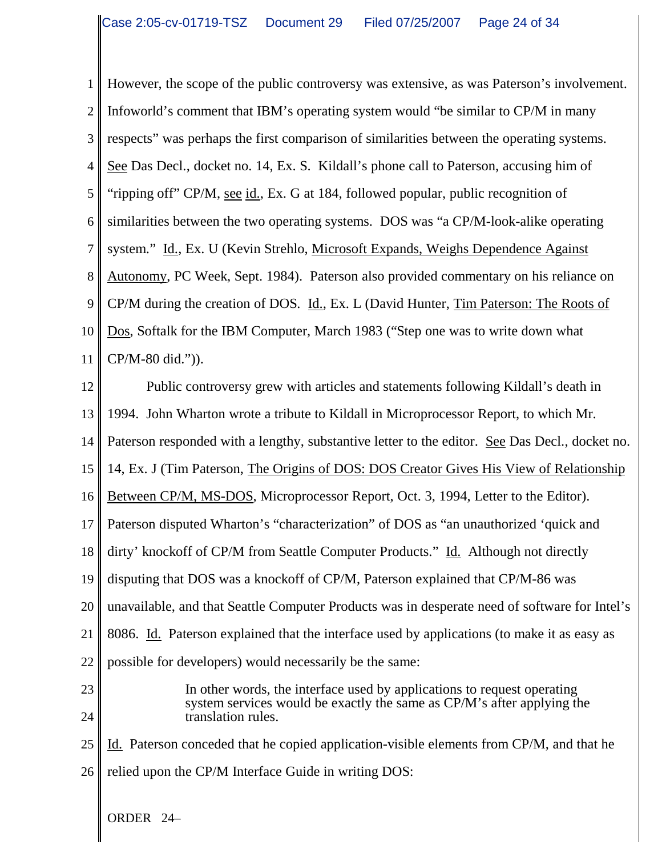1 2 3 4 5 6 7 8 9 10 11 12 However, the scope of the public controversy was extensive, as was Paterson's involvement. Infoworld's comment that IBM's operating system would "be similar to CP/M in many respects" was perhaps the first comparison of similarities between the operating systems. See Das Decl., docket no. 14, Ex. S. Kildall's phone call to Paterson, accusing him of "ripping off" CP/M, see id., Ex. G at 184, followed popular, public recognition of similarities between the two operating systems. DOS was "a CP/M-look-alike operating system." Id., Ex. U (Kevin Strehlo, Microsoft Expands, Weighs Dependence Against Autonomy, PC Week, Sept. 1984). Paterson also provided commentary on his reliance on CP/M during the creation of DOS. Id., Ex. L (David Hunter, Tim Paterson: The Roots of Dos, Softalk for the IBM Computer, March 1983 ("Step one was to write down what CP/M-80 did.")). Public controversy grew with articles and statements following Kildall's death in

13 1994. John Wharton wrote a tribute to Kildall in Microprocessor Report, to which Mr.

14 Paterson responded with a lengthy, substantive letter to the editor. See Das Decl., docket no.

15 14, Ex. J (Tim Paterson, The Origins of DOS: DOS Creator Gives His View of Relationship

16 Between CP/M, MS-DOS, Microprocessor Report, Oct. 3, 1994, Letter to the Editor).

17 Paterson disputed Wharton's "characterization" of DOS as "an unauthorized 'quick and

18 dirty' knockoff of CP/M from Seattle Computer Products." Id. Although not directly

19 disputing that DOS was a knockoff of CP/M, Paterson explained that CP/M-86 was

20 unavailable, and that Seattle Computer Products was in desperate need of software for Intel's

21 8086. Id. Paterson explained that the interface used by applications (to make it as easy as

22 possible for developers) would necessarily be the same:

23 24 In other words, the interface used by applications to request operating system services would be exactly the same as CP/M's after applying the translation rules.

25 26 Id. Paterson conceded that he copied application-visible elements from CP/M, and that he relied upon the CP/M Interface Guide in writing DOS:

ORDER 24–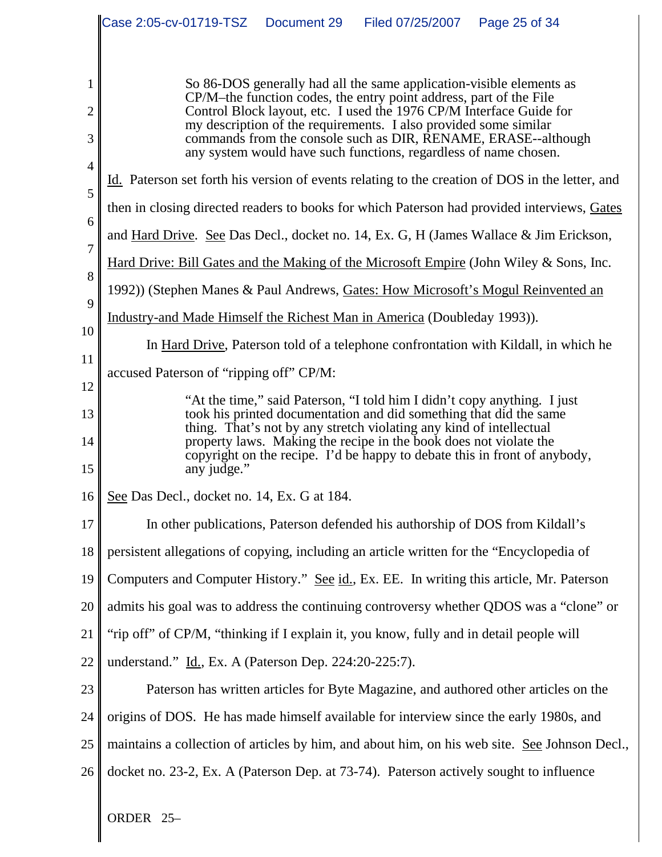|                                            | Case 2:05-cv-01719-TSZ<br>Document 29<br>Filed 07/25/2007<br>Page 25 of 34                                                                                                                                                                                                                                                                                                                                                                                                                                                     |
|--------------------------------------------|--------------------------------------------------------------------------------------------------------------------------------------------------------------------------------------------------------------------------------------------------------------------------------------------------------------------------------------------------------------------------------------------------------------------------------------------------------------------------------------------------------------------------------|
| 1<br>$\overline{c}$<br>3<br>$\overline{4}$ | So 86-DOS generally had all the same application-visible elements as<br>CP/M–the function codes, the entry point address, part of the File<br>Control Block layout, etc. I used the 1976 CP/M Interface Guide for<br>my description of the requirements. I also provided some similar<br>commands from the console such as DIR, RENAME, ERASE--although<br>any system would have such functions, regardless of name chosen.<br>Id. Paterson set forth his version of events relating to the creation of DOS in the letter, and |
| 5                                          | then in closing directed readers to books for which Paterson had provided interviews, Gates                                                                                                                                                                                                                                                                                                                                                                                                                                    |
| 6                                          | and Hard Drive. See Das Decl., docket no. 14, Ex. G, H (James Wallace & Jim Erickson,                                                                                                                                                                                                                                                                                                                                                                                                                                          |
| 7                                          | Hard Drive: Bill Gates and the Making of the Microsoft Empire (John Wiley & Sons, Inc.                                                                                                                                                                                                                                                                                                                                                                                                                                         |
| 8                                          | 1992)) (Stephen Manes & Paul Andrews, Gates: How Microsoft's Mogul Reinvented an                                                                                                                                                                                                                                                                                                                                                                                                                                               |
| 9                                          | Industry-and Made Himself the Richest Man in America (Doubleday 1993)).                                                                                                                                                                                                                                                                                                                                                                                                                                                        |
| 10                                         | In Hard Drive, Paterson told of a telephone confrontation with Kildall, in which he                                                                                                                                                                                                                                                                                                                                                                                                                                            |
| 11<br>12                                   | accused Paterson of "ripping off" CP/M:                                                                                                                                                                                                                                                                                                                                                                                                                                                                                        |
| 13<br>14<br>15                             | "At the time," said Paterson, "I told him I didn't copy anything. I just<br>took his printed documentation and did something that did the same<br>thing. That's not by any stretch violating any kind of intellectual<br>property laws. Making the recipe in the book does not violate the<br>copyright on the recipe. I'd be happy to debate this in front of anybody,<br>any judge."                                                                                                                                         |
| 16                                         | See Das Decl., docket no. 14, Ex. G at 184.                                                                                                                                                                                                                                                                                                                                                                                                                                                                                    |
| 17                                         | In other publications, Paterson defended his authorship of DOS from Kildall's                                                                                                                                                                                                                                                                                                                                                                                                                                                  |
| 18                                         | persistent allegations of copying, including an article written for the "Encyclopedia of                                                                                                                                                                                                                                                                                                                                                                                                                                       |
| 19                                         | Computers and Computer History." See id., Ex. EE. In writing this article, Mr. Paterson                                                                                                                                                                                                                                                                                                                                                                                                                                        |
| 20                                         | admits his goal was to address the continuing controversy whether QDOS was a "clone" or                                                                                                                                                                                                                                                                                                                                                                                                                                        |
| 21                                         | "rip off" of CP/M, "thinking if I explain it, you know, fully and in detail people will                                                                                                                                                                                                                                                                                                                                                                                                                                        |
| 22                                         | understand." Id., Ex. A (Paterson Dep. 224:20-225:7).                                                                                                                                                                                                                                                                                                                                                                                                                                                                          |
| 23                                         | Paterson has written articles for Byte Magazine, and authored other articles on the                                                                                                                                                                                                                                                                                                                                                                                                                                            |
| 24                                         | origins of DOS. He has made himself available for interview since the early 1980s, and                                                                                                                                                                                                                                                                                                                                                                                                                                         |
| 25                                         | maintains a collection of articles by him, and about him, on his web site. See Johnson Decl.,                                                                                                                                                                                                                                                                                                                                                                                                                                  |
| 26                                         | docket no. 23-2, Ex. A (Paterson Dep. at 73-74). Paterson actively sought to influence                                                                                                                                                                                                                                                                                                                                                                                                                                         |
|                                            | ORDER 25-                                                                                                                                                                                                                                                                                                                                                                                                                                                                                                                      |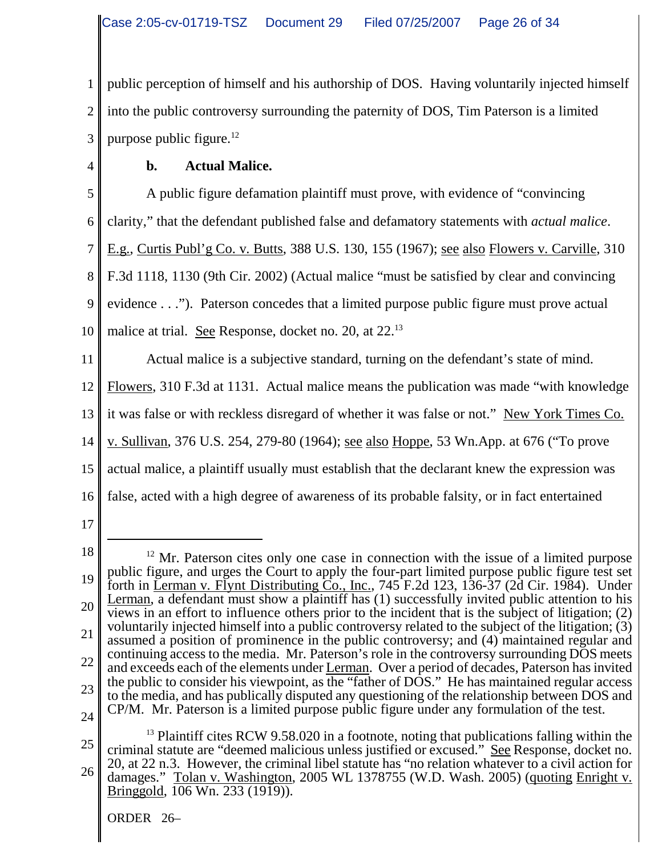1 2 3 public perception of himself and his authorship of DOS. Having voluntarily injected himself into the public controversy surrounding the paternity of DOS, Tim Paterson is a limited purpose public figure. $12$ 

4

## **b. Actual Malice.**

5 6 7 8 9 10 11 12 13 14 15 16 A public figure defamation plaintiff must prove, with evidence of "convincing clarity," that the defendant published false and defamatory statements with *actual malice*. E.g., Curtis Publ'g Co. v. Butts, 388 U.S. 130, 155 (1967); see also Flowers v. Carville, 310 F.3d 1118, 1130 (9th Cir. 2002) (Actual malice "must be satisfied by clear and convincing evidence . . ."). Paterson concedes that a limited purpose public figure must prove actual malice at trial. See Response, docket no. 20, at 22.<sup>13</sup> Actual malice is a subjective standard, turning on the defendant's state of mind. Flowers, 310 F.3d at 1131. Actual malice means the publication was made "with knowledge it was false or with reckless disregard of whether it was false or not." New York Times Co. v. Sullivan, 376 U.S. 254, 279-80 (1964); see also Hoppe, 53 Wn.App. at 676 ("To prove actual malice, a plaintiff usually must establish that the declarant knew the expression was false, acted with a high degree of awareness of its probable falsity, or in fact entertained

17

<sup>18</sup> 19 20 21 22 23 24  $12$  Mr. Paterson cites only one case in connection with the issue of a limited purpose public figure, and urges the Court to apply the four-part limited purpose public figure test set forth in Lerman v. Flynt Distributing  $\overline{Co}$ , Inc., 745 F.2d 123, 136-37 (2d Cir. 1984). Under Lerman, a defendant must show a plaintiff has (1) successfully invited public attention to his views in an effort to influence others prior to the incident that is the subject of litigation; (2) voluntarily injected himself into a public controversy related to the subject of the litigation; (3) assumed a position of prominence in the public controversy; and (4) maintained regular and continuing access to the media. Mr. Paterson's role in the controversy surrounding DOS meets and exceeds each of the elements under Lerman. Over a period of decades, Paterson has invited the public to consider his viewpoint, as the "father of DOS." He has maintained regular access to the media, and has publically disputed any questioning of the relationship between DOS and CP/M. Mr. Paterson is a limited purpose public figure under any formulation of the test.

<sup>25</sup> 26  $13$  Plaintiff cites RCW 9.58.020 in a footnote, noting that publications falling within the criminal statute are "deemed malicious unless justified or excused." See Response, docket no. 20, at 22 n.3. However, the criminal libel statute has "no relation whatever to a civil action for damages." Tolan v. Washington, 2005 WL 1378755 (W.D. Wash. 2005) (quoting Enright v. Bringgold, 106 Wn. 233 (1919)).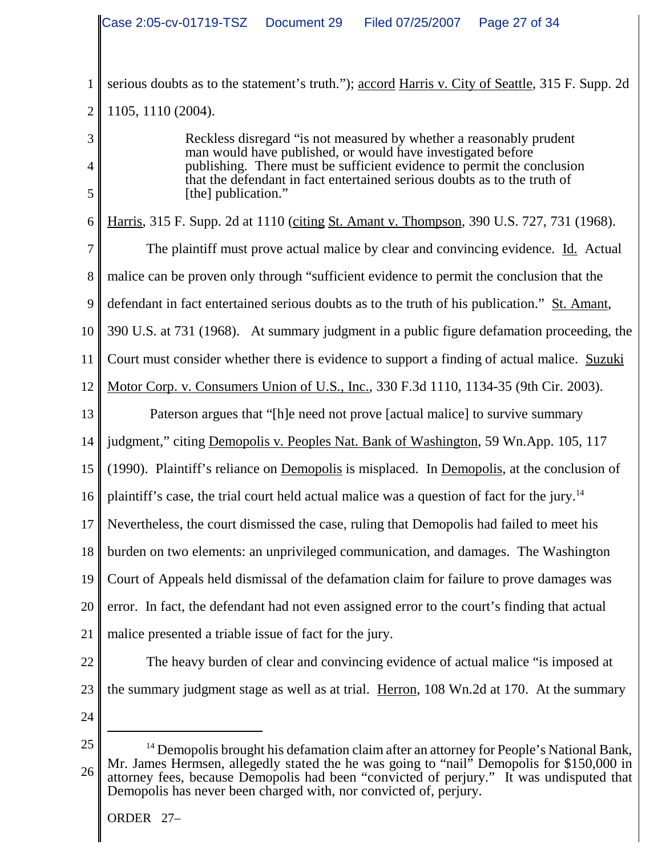|                | Case 2:05-cv-01719-TSZ<br>Document 29<br>Filed 07/25/2007   Page 27 of 34                                                                                                                                                                                  |
|----------------|------------------------------------------------------------------------------------------------------------------------------------------------------------------------------------------------------------------------------------------------------------|
| 1              | serious doubts as to the statement's truth."); accord Harris v. City of Seattle, 315 F. Supp. 2d                                                                                                                                                           |
| $\overline{2}$ | 1105, 1110 (2004).                                                                                                                                                                                                                                         |
| 3              | Reckless disregard "is not measured by whether a reasonably prudent                                                                                                                                                                                        |
| 4              | man would have published, or would have investigated before<br>publishing. There must be sufficient evidence to permit the conclusion                                                                                                                      |
| 5              | that the defendant in fact entertained serious doubts as to the truth of<br>[the] publication."                                                                                                                                                            |
| 6              | Harris, 315 F. Supp. 2d at 1110 (citing St. Amant v. Thompson, 390 U.S. 727, 731 (1968).                                                                                                                                                                   |
| 7              | The plaintiff must prove actual malice by clear and convincing evidence. Id. Actual                                                                                                                                                                        |
| 8              | malice can be proven only through "sufficient evidence to permit the conclusion that the                                                                                                                                                                   |
| 9              | defendant in fact entertained serious doubts as to the truth of his publication." St. Amant,                                                                                                                                                               |
| 10             | 390 U.S. at 731 (1968). At summary judgment in a public figure defamation proceeding, the                                                                                                                                                                  |
| 11             | Court must consider whether there is evidence to support a finding of actual malice. Suzuki                                                                                                                                                                |
| 12             | Motor Corp. v. Consumers Union of U.S., Inc., 330 F.3d 1110, 1134-35 (9th Cir. 2003).                                                                                                                                                                      |
| 13             | Paterson argues that "[h]e need not prove [actual malice] to survive summary                                                                                                                                                                               |
| 14             | judgment," citing Demopolis v. Peoples Nat. Bank of Washington, 59 Wn. App. 105, 117                                                                                                                                                                       |
| 15             | (1990). Plaintiff's reliance on Demopolis is misplaced. In Demopolis, at the conclusion of                                                                                                                                                                 |
|                | 16    plaintiff's case, the trial court held actual malice was a question of fact for the jury. <sup>14</sup>                                                                                                                                              |
| 17             | Nevertheless, the court dismissed the case, ruling that Demopolis had failed to meet his                                                                                                                                                                   |
| 18             | burden on two elements: an unprivileged communication, and damages. The Washington                                                                                                                                                                         |
| 19             | Court of Appeals held dismissal of the defamation claim for failure to prove damages was                                                                                                                                                                   |
| 20             | error. In fact, the defendant had not even assigned error to the court's finding that actual                                                                                                                                                               |
| 21             | malice presented a triable issue of fact for the jury.                                                                                                                                                                                                     |
| 22             | The heavy burden of clear and convincing evidence of actual malice "is imposed at                                                                                                                                                                          |
| 23             | the summary judgment stage as well as at trial. Herron, 108 Wn.2d at 170. At the summary                                                                                                                                                                   |
| 24             |                                                                                                                                                                                                                                                            |
| 25             | <sup>14</sup> Demopolis brought his defamation claim after an attorney for People's National Bank,                                                                                                                                                         |
| 26             | Mr. James Hermsen, allegedly stated the he was going to "nail" Demopolis for \$150,000 in<br>attorney fees, because Demopolis had been "convicted of perjury." It was undisputed that<br>Demopolis has never been charged with, nor convicted of, perjury. |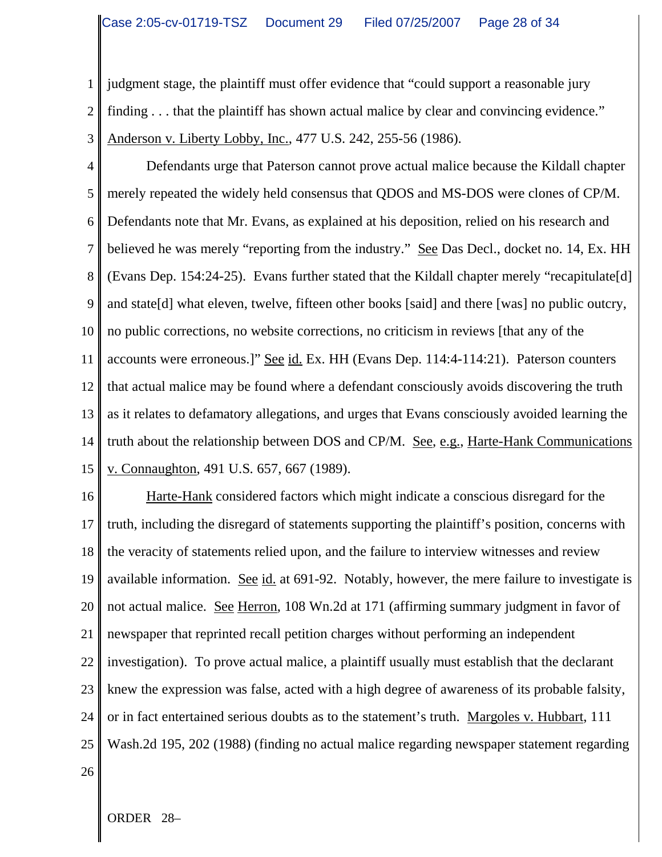1 2 judgment stage, the plaintiff must offer evidence that "could support a reasonable jury finding . . . that the plaintiff has shown actual malice by clear and convincing evidence." Anderson v. Liberty Lobby, Inc., 477 U.S. 242, 255-56 (1986).

3

4 5 6 7 8 9 10 11 12 13 14 15 Defendants urge that Paterson cannot prove actual malice because the Kildall chapter merely repeated the widely held consensus that QDOS and MS-DOS were clones of CP/M. Defendants note that Mr. Evans, as explained at his deposition, relied on his research and believed he was merely "reporting from the industry." <u>See</u> Das Decl., docket no. 14, Ex. HH (Evans Dep. 154:24-25). Evans further stated that the Kildall chapter merely "recapitulate[d] and state[d] what eleven, twelve, fifteen other books [said] and there [was] no public outcry, no public corrections, no website corrections, no criticism in reviews [that any of the accounts were erroneous.]" See id. Ex. HH (Evans Dep. 114:4-114:21). Paterson counters that actual malice may be found where a defendant consciously avoids discovering the truth as it relates to defamatory allegations, and urges that Evans consciously avoided learning the truth about the relationship between DOS and CP/M. See, e.g., Harte-Hank Communications v. Connaughton, 491 U.S. 657, 667 (1989).

16 17 18 19 20 21 22 23 24 25 Harte-Hank considered factors which might indicate a conscious disregard for the truth, including the disregard of statements supporting the plaintiff's position, concerns with the veracity of statements relied upon, and the failure to interview witnesses and review available information. See id. at 691-92. Notably, however, the mere failure to investigate is not actual malice. See Herron, 108 Wn.2d at 171 (affirming summary judgment in favor of newspaper that reprinted recall petition charges without performing an independent investigation). To prove actual malice, a plaintiff usually must establish that the declarant knew the expression was false, acted with a high degree of awareness of its probable falsity, or in fact entertained serious doubts as to the statement's truth. Margoles v. Hubbart, 111 Wash.2d 195, 202 (1988) (finding no actual malice regarding newspaper statement regarding

26

ORDER 28–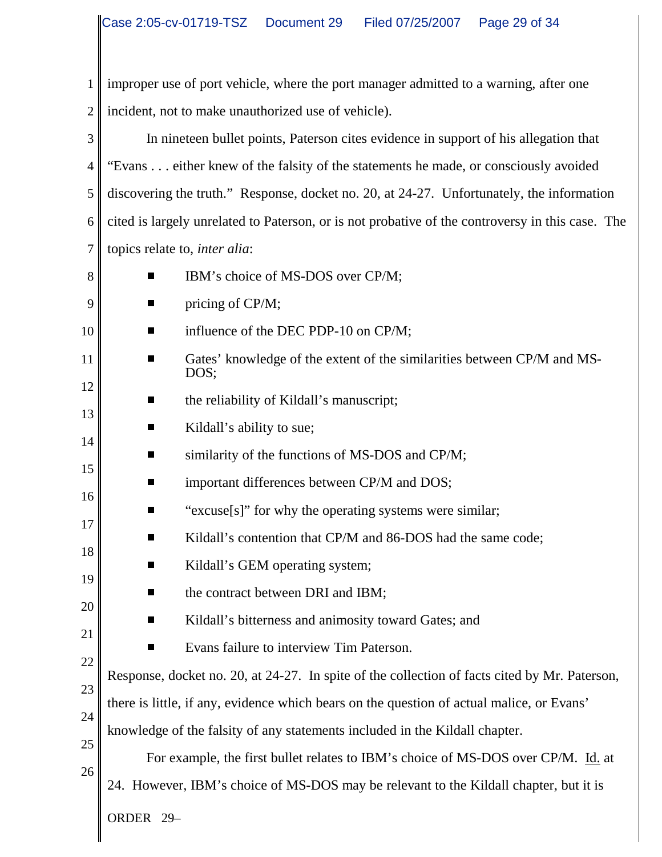1 2 improper use of port vehicle, where the port manager admitted to a warning, after one incident, not to make unauthorized use of vehicle).

3 4 5 6 7 In nineteen bullet points, Paterson cites evidence in support of his allegation that "Evans . . . either knew of the falsity of the statements he made, or consciously avoided discovering the truth." Response, docket no. 20, at 24-27. Unfortunately, the information cited is largely unrelated to Paterson, or is not probative of the controversy in this case. The topics relate to, *inter alia*:

8 9 10

13

14

15

17

18

19

20

- **EXECUTE:** IBM's choice of MS-DOS over CP/M;<br> **EXECUTE:** pricing of CP/M: pricing of CP/M;
- $\blacksquare$  influence of the DEC PDP-10 on CP/M;
- 11 12 **Example 3** Gates' knowledge of the extent of the similarities between CP/M and MS-DOS;
	- $\blacksquare$  the reliability of Kildall's manuscript;
	- $\blacksquare$  Kildall's ability to sue;
		- $\blacksquare$  similarity of the functions of MS-DOS and CP/M;
- 16  $\blacksquare$  important differences between CP/M and DOS;<br> $\blacksquare$  "excuse[s]" for why the operating systems were
	- "excuse[s]" for why the operating systems were similar;<br>Kildall's contention that CP/M and 86-DOS had the sam
		- Kildall's contention that CP/M and 86-DOS had the same code;<br>■ Kildall's GEM operating system:
	- Kildall's GEM operating system;
		- $\blacksquare$  the contract between DRI and IBM;
		- Kildall's bitterness and animosity toward Gates; and

Evans failure to interview Tim Paterson.

knowledge of the falsity of any statements included in the Kildall chapter.

- 21 22
- 
- 23
- 24
- 25

26

ORDER 29– For example, the first bullet relates to IBM's choice of MS-DOS over CP/M. Id. at 24. However, IBM's choice of MS-DOS may be relevant to the Kildall chapter, but it is

Response, docket no. 20, at 24-27. In spite of the collection of facts cited by Mr. Paterson,

there is little, if any, evidence which bears on the question of actual malice, or Evans'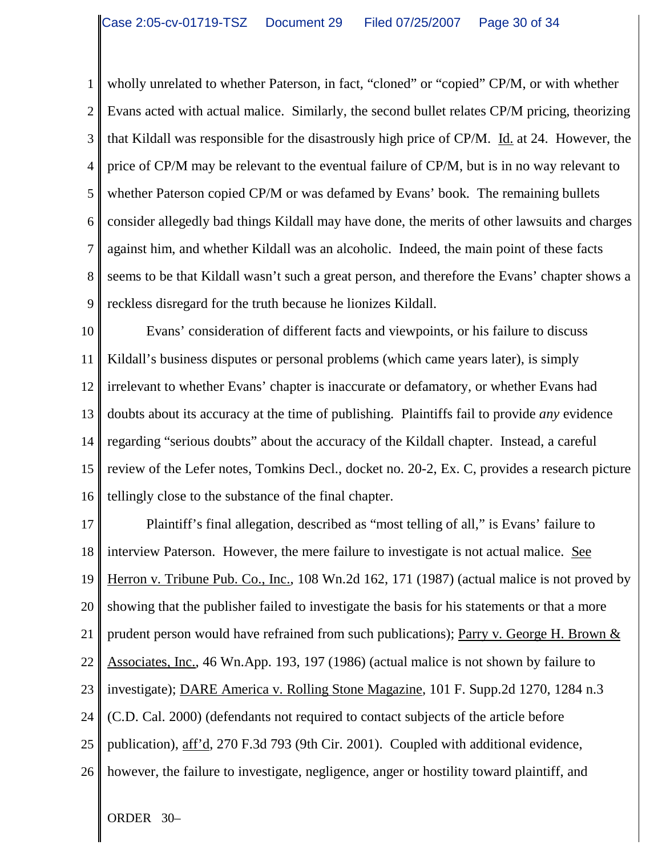1 2 3 4 5 6 7 8 9 wholly unrelated to whether Paterson, in fact, "cloned" or "copied" CP/M, or with whether Evans acted with actual malice. Similarly, the second bullet relates CP/M pricing, theorizing that Kildall was responsible for the disastrously high price of CP/M. Id. at 24. However, the price of CP/M may be relevant to the eventual failure of CP/M, but is in no way relevant to whether Paterson copied CP/M or was defamed by Evans' book. The remaining bullets consider allegedly bad things Kildall may have done, the merits of other lawsuits and charges against him, and whether Kildall was an alcoholic. Indeed, the main point of these facts seems to be that Kildall wasn't such a great person, and therefore the Evans' chapter shows a reckless disregard for the truth because he lionizes Kildall.

10 11 12 13 14 15 16 Evans' consideration of different facts and viewpoints, or his failure to discuss Kildall's business disputes or personal problems (which came years later), is simply irrelevant to whether Evans' chapter is inaccurate or defamatory, or whether Evans had doubts about its accuracy at the time of publishing. Plaintiffs fail to provide *any* evidence regarding "serious doubts" about the accuracy of the Kildall chapter. Instead, a careful review of the Lefer notes, Tomkins Decl., docket no. 20-2, Ex. C, provides a research picture tellingly close to the substance of the final chapter.

17 18 19 20 21 22 23 24 25 26 Plaintiff's final allegation, described as "most telling of all," is Evans' failure to interview Paterson. However, the mere failure to investigate is not actual malice. See Herron v. Tribune Pub. Co., Inc., 108 Wn.2d 162, 171 (1987) (actual malice is not proved by showing that the publisher failed to investigate the basis for his statements or that a more prudent person would have refrained from such publications); Parry v. George H. Brown  $&$ Associates, Inc., 46 Wn.App. 193, 197 (1986) (actual malice is not shown by failure to investigate); DARE America v. Rolling Stone Magazine, 101 F. Supp.2d 1270, 1284 n.3 (C.D. Cal. 2000) (defendants not required to contact subjects of the article before publication), aff'd, 270 F.3d 793 (9th Cir. 2001). Coupled with additional evidence, however, the failure to investigate, negligence, anger or hostility toward plaintiff, and

ORDER 30–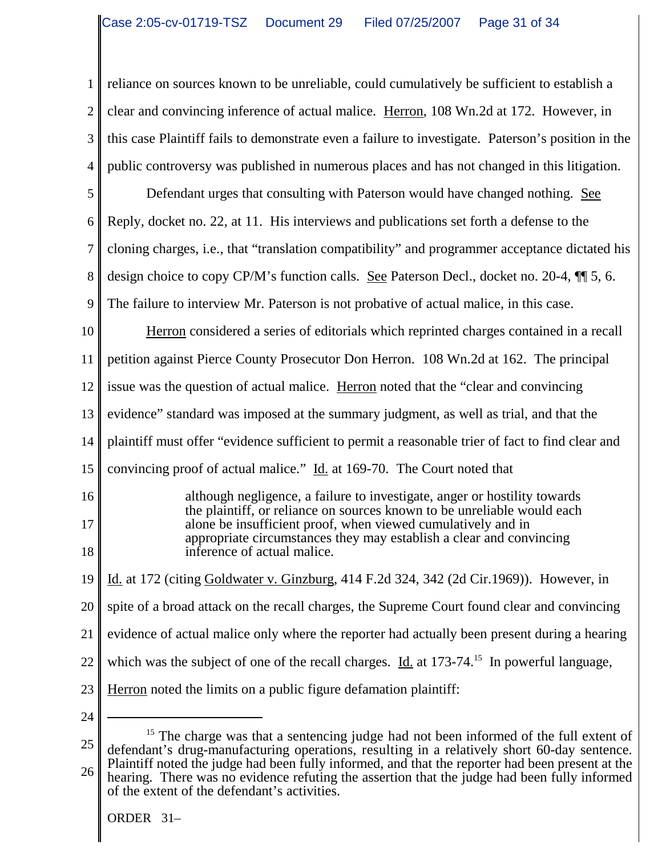1 2 3 4 reliance on sources known to be unreliable, could cumulatively be sufficient to establish a clear and convincing inference of actual malice. Herron, 108 Wn.2d at 172. However, in this case Plaintiff fails to demonstrate even a failure to investigate. Paterson's position in the public controversy was published in numerous places and has not changed in this litigation.

5 Defendant urges that consulting with Paterson would have changed nothing. See

6 Reply, docket no. 22, at 11. His interviews and publications set forth a defense to the

7 cloning charges, i.e., that "translation compatibility" and programmer acceptance dictated his

8 design choice to copy CP/M's function calls. See Paterson Decl., docket no. 20-4, ¶¶ 5, 6.

9 The failure to interview Mr. Paterson is not probative of actual malice, in this case.

10 11 Herron considered a series of editorials which reprinted charges contained in a recall petition against Pierce County Prosecutor Don Herron. 108 Wn.2d at 162. The principal

12 issue was the question of actual malice. Herron noted that the "clear and convincing

13 evidence" standard was imposed at the summary judgment, as well as trial, and that the

14 plaintiff must offer "evidence sufficient to permit a reasonable trier of fact to find clear and

15 convincing proof of actual malice." Id. at 169-70. The Court noted that

although negligence, a failure to investigate, anger or hostility towards the plaintiff, or reliance on sources known to be unreliable would each alone be insufficient proof, when viewed cumulatively and in appropriate circumstances they may establish a clear and convincing inference of actual malice.

19 Id. at 172 (citing Goldwater v. Ginzburg, 414 F.2d 324, 342 (2d Cir.1969)). However, in

20 spite of a broad attack on the recall charges, the Supreme Court found clear and convincing

- 21 evidence of actual malice only where the reporter had actually been present during a hearing
- 22 which was the subject of one of the recall charges. Id. at  $173-74$ <sup>15</sup> In powerful language,
- 23 Herron noted the limits on a public figure defamation plaintiff:
- 24

16

17

18

<sup>25</sup> 26  $15$  The charge was that a sentencing judge had not been informed of the full extent of defendant's drug-manufacturing operations, resulting in a relatively short 60-day sentence. Plaintiff noted the judge had been fully informed, and that the reporter had been present at the hearing. There was no evidence refuting the assertion that the judge had been fully informed of the extent of the defendant's activities.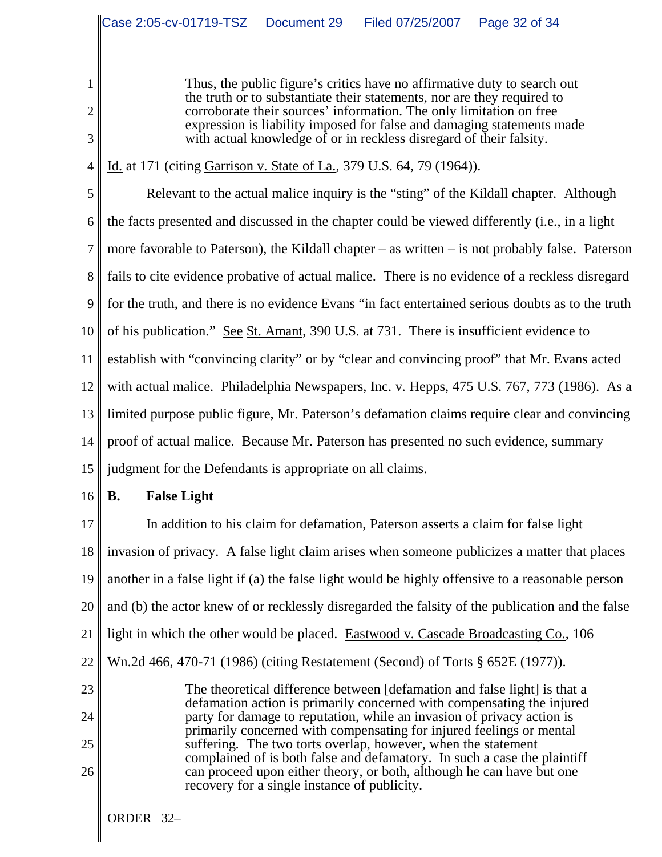Thus, the public figure's critics have no affirmative duty to search out the truth or to substantiate their statements, nor are they required to corroborate their sources' information. The only limitation on free expression is liability imposed for false and damaging statements made with actual knowledge of or in reckless disregard of their falsity.

4 Id. at 171 (citing Garrison v. State of La., 379 U.S. 64, 79 (1964)).

5 6 7 8 9 10 11 12 13 14 15 Relevant to the actual malice inquiry is the "sting" of the Kildall chapter. Although the facts presented and discussed in the chapter could be viewed differently (i.e., in a light more favorable to Paterson), the Kildall chapter – as written – is not probably false. Paterson fails to cite evidence probative of actual malice. There is no evidence of a reckless disregard for the truth, and there is no evidence Evans "in fact entertained serious doubts as to the truth of his publication." See St. Amant, 390 U.S. at 731. There is insufficient evidence to establish with "convincing clarity" or by "clear and convincing proof" that Mr. Evans acted with actual malice. Philadelphia Newspapers, Inc. v. Hepps, 475 U.S. 767, 773 (1986). As a limited purpose public figure, Mr. Paterson's defamation claims require clear and convincing proof of actual malice. Because Mr. Paterson has presented no such evidence, summary judgment for the Defendants is appropriate on all claims.

16

23

24

25

26

1

2

3

# **B. False Light**

17 18 19 20 21 22 In addition to his claim for defamation, Paterson asserts a claim for false light invasion of privacy. A false light claim arises when someone publicizes a matter that places another in a false light if (a) the false light would be highly offensive to a reasonable person and (b) the actor knew of or recklessly disregarded the falsity of the publication and the false light in which the other would be placed. Eastwood v. Cascade Broadcasting Co., 106 Wn.2d 466, 470-71 (1986) (citing Restatement (Second) of Torts § 652E (1977)).

The theoretical difference between [defamation and false light] is that a defamation action is primarily concerned with compensating the injured party for damage to reputation, while an invasion of privacy action is primarily concerned with compensating for injured feelings or mental suffering. The two torts overlap, however, when the statement complained of is both false and defamatory. In such a case the plaintiff can proceed upon either theory, or both, although he can have but one recovery for a single instance of publicity.

ORDER 32–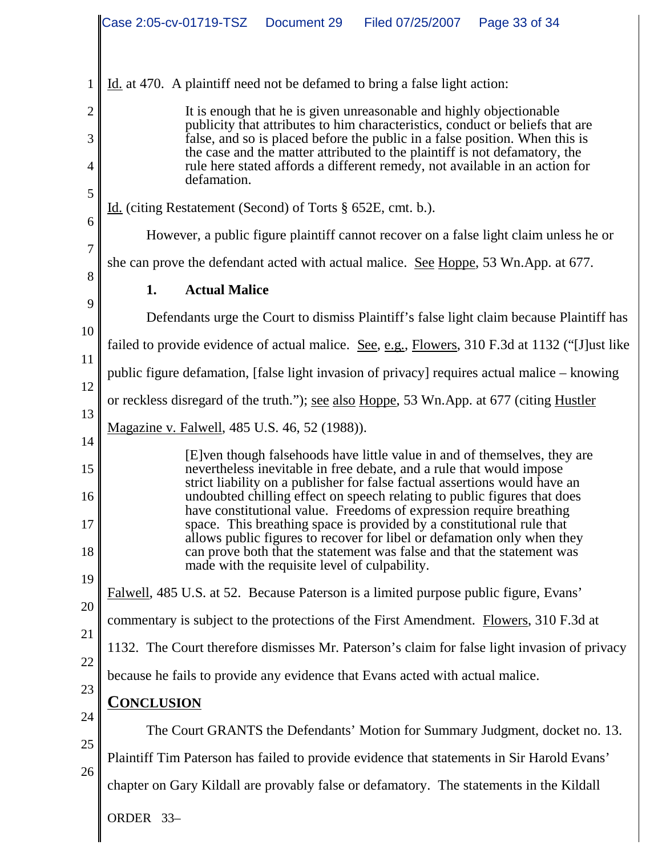|                            | Case 2:05-cv-01719-TSZ Document 29<br>Filed 07/25/2007  Page 33 of 34                                                                                                                                                                                                                                                                                                                                                                                                                                                                                                                                                                                              |
|----------------------------|--------------------------------------------------------------------------------------------------------------------------------------------------------------------------------------------------------------------------------------------------------------------------------------------------------------------------------------------------------------------------------------------------------------------------------------------------------------------------------------------------------------------------------------------------------------------------------------------------------------------------------------------------------------------|
|                            |                                                                                                                                                                                                                                                                                                                                                                                                                                                                                                                                                                                                                                                                    |
| 1                          | Id. at 470. A plaintiff need not be defamed to bring a false light action:                                                                                                                                                                                                                                                                                                                                                                                                                                                                                                                                                                                         |
| $\overline{c}$             | It is enough that he is given unreasonable and highly objectionable<br>publicity that attributes to him characteristics, conduct or beliefs that are                                                                                                                                                                                                                                                                                                                                                                                                                                                                                                               |
| 3                          | false, and so is placed before the public in a false position. When this is                                                                                                                                                                                                                                                                                                                                                                                                                                                                                                                                                                                        |
| 4                          | the case and the matter attributed to the plaintiff is not defamatory, the<br>rule here stated affords a different remedy, not available in an action for<br>defamation.                                                                                                                                                                                                                                                                                                                                                                                                                                                                                           |
| 5<br>6                     | Id. (citing Restatement (Second) of Torts § 652E, cmt. b.).                                                                                                                                                                                                                                                                                                                                                                                                                                                                                                                                                                                                        |
| 7                          | However, a public figure plaintiff cannot recover on a false light claim unless he or                                                                                                                                                                                                                                                                                                                                                                                                                                                                                                                                                                              |
| 8                          | she can prove the defendant acted with actual malice. See Hoppe, 53 Wn.App. at 677.                                                                                                                                                                                                                                                                                                                                                                                                                                                                                                                                                                                |
|                            | <b>Actual Malice</b><br>1.                                                                                                                                                                                                                                                                                                                                                                                                                                                                                                                                                                                                                                         |
| 9                          | Defendants urge the Court to dismiss Plaintiff's false light claim because Plaintiff has                                                                                                                                                                                                                                                                                                                                                                                                                                                                                                                                                                           |
| 10                         | failed to provide evidence of actual malice. See, e.g., Flowers, 310 F.3d at 1132 ("[J]ust like                                                                                                                                                                                                                                                                                                                                                                                                                                                                                                                                                                    |
| 11<br>12                   | public figure defamation, [false light invasion of privacy] requires actual malice – knowing                                                                                                                                                                                                                                                                                                                                                                                                                                                                                                                                                                       |
| 13                         | or reckless disregard of the truth."); <u>see also Hoppe</u> , 53 Wn.App. at 677 (citing Hustler                                                                                                                                                                                                                                                                                                                                                                                                                                                                                                                                                                   |
|                            | Magazine v. Falwell, 485 U.S. 46, 52 (1988)).                                                                                                                                                                                                                                                                                                                                                                                                                                                                                                                                                                                                                      |
| 14<br>15<br>16<br>17<br>18 | [E] ven though falsehoods have little value in and of themselves, they are<br>nevertheless inevitable in free debate, and a rule that would impose<br>strict liability on a publisher for false factual assertions would have an<br>undoubted chilling effect on speech relating to public figures that does<br>have constitutional value. Freedoms of expression require breathing<br>space. This breathing space is provided by a constitutional rule that<br>allows public figures to recover for libel or defamation only when they<br>can prove both that the statement was false and that the statement was<br>made with the requisite level of culpability. |
| 19<br>20                   | Falwell, 485 U.S. at 52. Because Paterson is a limited purpose public figure, Evans'                                                                                                                                                                                                                                                                                                                                                                                                                                                                                                                                                                               |
|                            | commentary is subject to the protections of the First Amendment. Flowers, 310 F.3d at                                                                                                                                                                                                                                                                                                                                                                                                                                                                                                                                                                              |
| 21                         | 1132. The Court therefore dismisses Mr. Paterson's claim for false light invasion of privacy                                                                                                                                                                                                                                                                                                                                                                                                                                                                                                                                                                       |
| 22                         | because he fails to provide any evidence that Evans acted with actual malice.                                                                                                                                                                                                                                                                                                                                                                                                                                                                                                                                                                                      |
| 23                         | <u>Conclusion</u>                                                                                                                                                                                                                                                                                                                                                                                                                                                                                                                                                                                                                                                  |
| 24                         | The Court GRANTS the Defendants' Motion for Summary Judgment, docket no. 13.                                                                                                                                                                                                                                                                                                                                                                                                                                                                                                                                                                                       |
| 25                         | Plaintiff Tim Paterson has failed to provide evidence that statements in Sir Harold Evans'                                                                                                                                                                                                                                                                                                                                                                                                                                                                                                                                                                         |
| 26                         | chapter on Gary Kildall are provably false or defamatory. The statements in the Kildall                                                                                                                                                                                                                                                                                                                                                                                                                                                                                                                                                                            |
|                            | ORDER 33-                                                                                                                                                                                                                                                                                                                                                                                                                                                                                                                                                                                                                                                          |